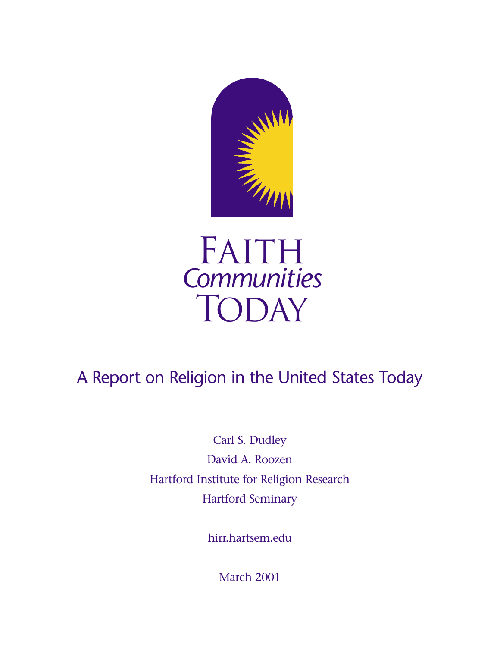



# A Report on Religion in the United States Today

Carl S. Dudley David A. Roozen Hartford Institute for Religion Research Hartford Seminary

hirr.hartsem.edu

March 2001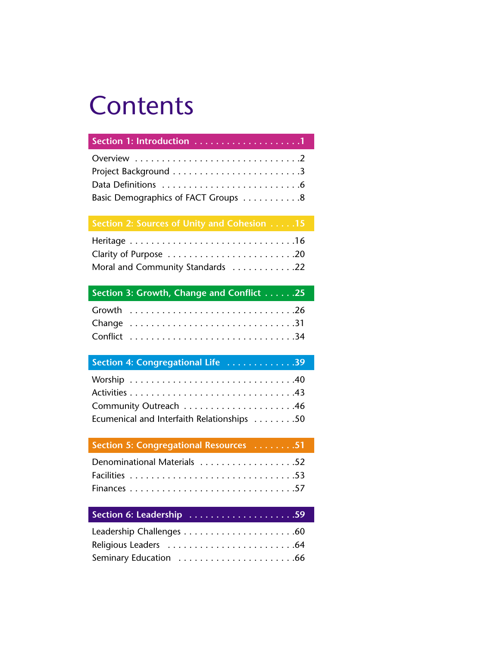# **Contents**

| Overview $\ldots \ldots \ldots \ldots \ldots \ldots \ldots \ldots \ldots$ |
|---------------------------------------------------------------------------|
|                                                                           |
|                                                                           |
| Basic Demographics of FACT Groups 8                                       |

| Moral and Community Standards 22 |  |
|----------------------------------|--|

### **Section 3: Growth, Change and Conflict . . . . . .25**

| Section 4: Congregational Life 39          |  |
|--------------------------------------------|--|
|                                            |  |
|                                            |  |
|                                            |  |
| Ecumenical and Interfaith Relationships 50 |  |

### **Section 5: Congregational Resources . . . . . . . .51**

| Denominational Materials 52 |  |
|-----------------------------|--|
|                             |  |
|                             |  |

### **Section 6: Leadership . . . . . . . . . . . . . . . . . . . .59**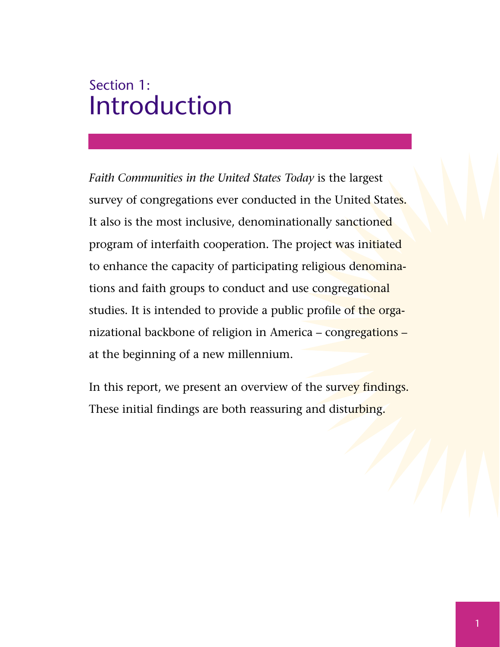# Section 1: Introduction

*Faith Communities in the United States Today* is the largest survey of congregations ever conducted in the United States. It also is the most inclusive, denominationally sanctioned program of interfaith cooperation. The project was initiated to enhance the capacity of participating religious denominations and faith groups to conduct and use congregational studies. It is intended to provide a public profile of the organizational backbone of religion in America – congregations – at the beginning of a new millennium.

In this report, we present an overview of the survey findings. These initial findings are both reassuring and disturbing.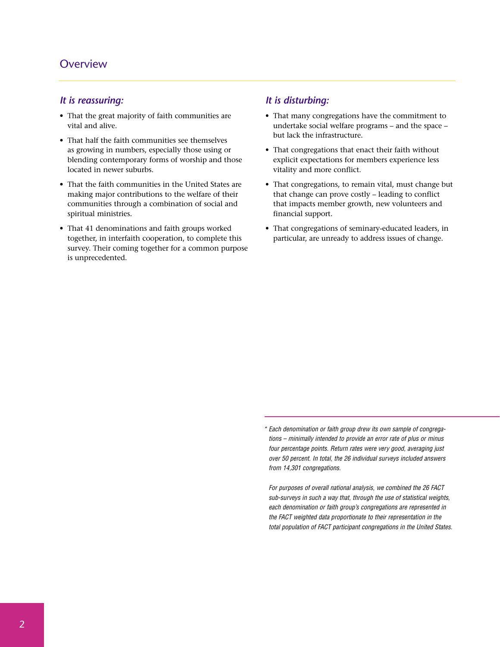### **Overview**

#### *It is reassuring:*

- That the great majority of faith communities are vital and alive.
- That half the faith communities see themselves as growing in numbers, especially those using or blending contemporary forms of worship and those located in newer suburbs.
- That the faith communities in the United States are making major contributions to the welfare of their communities through a combination of social and spiritual ministries.
- That 41 denominations and faith groups worked together, in interfaith cooperation, to complete this survey. Their coming together for a common purpose is unprecedented.

#### *It is disturbing:*

- That many congregations have the commitment to undertake social welfare programs – and the space – but lack the infrastructure.
- That congregations that enact their faith without explicit expectations for members experience less vitality and more conflict.
- That congregations, to remain vital, must change but that change can prove costly – leading to conflict that impacts member growth, new volunteers and financial support.
- That congregations of seminary-educated leaders, in particular, are unready to address issues of change.

*<sup>\*</sup> Each denomination or faith group drew its own sample of congregations – minimally intended to provide an error rate of plus or minus four percentage points. Return rates were very good, averaging just over 50 percent. In total, the 26 individual surveys included answers from 14,301 congregations.*

*<sup>\*</sup> For purposes of overall national analysis, we combined the 26 FACT sub-surveys in such a way that, through the use of statistical weights, each denomination or faith group's congregations are represented in the FACT weighted data proportionate to their representation in the total population of FACT participant congregations in the United States.*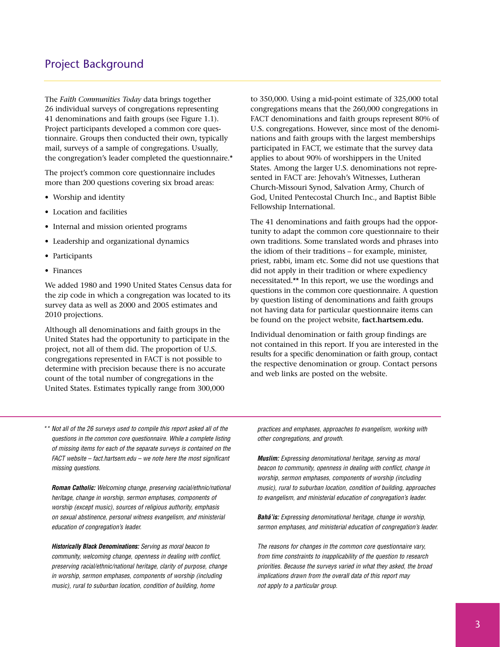The *Faith Communities Today* data brings together 26 individual surveys of congregations representing 41 denominations and faith groups (see Figure 1.1). Project participants developed a common core questionnaire. Groups then conducted their own, typically mail, surveys of a sample of congregations. Usually, the congregation's leader completed the questionnaire.\*

The project's common core questionnaire includes more than 200 questions covering six broad areas:

- Worship and identity
- Location and facilities
- Internal and mission oriented programs
- Leadership and organizational dynamics
- Participants
- Finances

We added 1980 and 1990 United States Census data for the zip code in which a congregation was located to its survey data as well as 2000 and 2005 estimates and 2010 projections.

Although all denominations and faith groups in the United States had the opportunity to participate in the project, not all of them did. The proportion of U.S. congregations represented in FACT is not possible to determine with precision because there is no accurate count of the total number of congregations in the United States. Estimates typically range from 300,000

to 350,000. Using a mid-point estimate of 325,000 total congregations means that the 260,000 congregations in FACT denominations and faith groups represent 80% of U.S. congregations. However, since most of the denominations and faith groups with the largest memberships participated in FACT, we estimate that the survey data applies to about 90% of worshippers in the United States. Among the larger U.S. denominations not represented in FACT are: Jehovah's Witnesses, Lutheran Church-Missouri Synod, Salvation Army, Church of God, United Pentecostal Church Inc., and Baptist Bible Fellowship International.

The 41 denominations and faith groups had the opportunity to adapt the common core questionnaire to their own traditions. Some translated words and phrases into the idiom of their traditions – for example, minister, priest, rabbi, imam etc. Some did not use questions that did not apply in their tradition or where expediency necessitated.\*\* In this report, we use the wordings and questions in the common core questionnaire. A question by question listing of denominations and faith groups not having data for particular questionnaire items can be found on the project website, **fact.hartsem.edu.**

Individual denomination or faith group findings are not contained in this report. If you are interested in the results for a specific denomination or faith group, contact the respective denomination or group. Contact persons and web links are posted on the website.

*\*\* Not all of the 26 surveys used to compile this report asked all of the questions in the common core questionnaire. While a complete listing of missing items for each of the separate surveys is contained on the FACT website – fact.hartsem.edu – we note here the most significant missing questions.* 

*\*\* Roman Catholic: Welcoming change, preserving racial/ethnic/national heritage, change in worship, sermon emphases, components of worship (except music), sources of religious authority, emphasis on sexual abstinence, personal witness evangelism, and ministerial education of congregation's leader.*

*\*\* Historically Black Denominations: Serving as moral beacon to community, welcoming change, openness in dealing with conflict, preserving racial/ethnic/national heritage, clarity of purpose, change in worship, sermon emphases, components of worship (including music), rural to suburban location, condition of building, home* 

*practices and emphases, approaches to evangelism, working with other congregations, and growth.*

*\*\* Muslim: Expressing denominational heritage, serving as moral beacon to community, openness in dealing with conflict, change in worship, sermon emphases, components of worship (including music), rural to suburban location, condition of building, approaches to evangelism, and ministerial education of congregation's leader.*

*\*\* Bahá'is: Expressing denominational heritage, change in worship, sermon emphases, and ministerial education of congregation's leader.*

The reasons for changes in the common core questionnaire vary, *from time constraints to inapplicability of the question to research priorities. Because the surveys varied in what they asked, the broad implications drawn from the overall data of this report may not apply to a particular group.*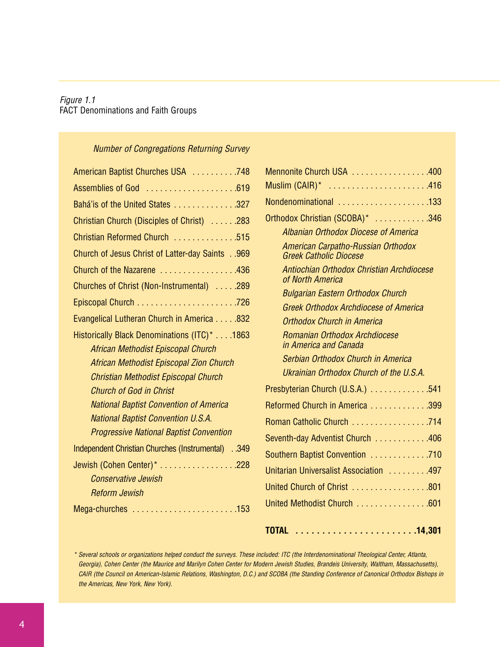### *Figure 1.1* FACT Denominations and Faith Groups

#### *Number of Congregations Returning Survey*

| American Baptist Churches USA 748                        |
|----------------------------------------------------------|
| Assemblies of God 619                                    |
| Bahá'is of the United States 327                         |
| Christian Church (Disciples of Christ) 283               |
| Christian Reformed Church 515                            |
| Church of Jesus Christ of Latter-day Saints 969          |
| Church of the Nazarene 436                               |
| Churches of Christ (Non-Instrumental)  .289              |
|                                                          |
| Evangelical Lutheran Church in America 832               |
| Historically Black Denominations (ITC)* 1863             |
| African Methodist Episcopal Church                       |
| <b>African Methodist Episcopal Zion Church</b>           |
| <b>Christian Methodist Episcopal Church</b>              |
| <b>Church of God in Christ</b>                           |
| <b>National Baptist Convention of America</b>            |
| <b>National Baptist Convention U.S.A.</b>                |
| <b>Progressive National Baptist Convention</b>           |
| <b>Independent Christian Churches (Instrumental)</b> 349 |
| Jewish (Cohen Center)* 228                               |
| <b>Conservative Jewish</b>                               |
| <b>Reform Jewish</b>                                     |
| Mega-churches 153                                        |

| Mennonite Church USA 400                                            |
|---------------------------------------------------------------------|
| Muslim $(CAIR)^*$ 416                                               |
| Nondenominational 133                                               |
| Orthodox Christian (SCOBA)* 346                                     |
| <b>Albanian Orthodox Diocese of America</b>                         |
| American Carpatho-Russian Orthodox<br><b>Greek Catholic Diocese</b> |
| Antiochian Orthodox Christian Archdiocese<br>of North America       |
| <b>Bulgarian Eastern Orthodox Church</b>                            |
| <b>Greek Orthodox Archdiocese of America</b>                        |
| Orthodox Church in America                                          |
| Romanian Orthodox Archdiocese<br>in America and Canada              |
| Serbian Orthodox Church in America                                  |
| Ukrainian Orthodox Church of the U.S.A.                             |
| Presbyterian Church (U.S.A.) 541                                    |
| Reformed Church in America 399                                      |
| Roman Catholic Church 714                                           |
| Seventh-day Adventist Church 406                                    |
| Southern Baptist Convention 710                                     |
| Unitarian Universalist Association 497                              |
| United Church of Christ 801                                         |
| United Methodist Church 601                                         |
|                                                                     |

### **TOTAL . . . . . . . . . . . . . . . . . . . . . . .14,301**

*\* Several schools or organizations helped conduct the surveys. These included: ITC (the Interdenominational Theological Center, Atlanta, Georgia), Cohen Center (the Maurice and Marilyn Cohen Center for Modern Jewish Studies, Brandeis University, Waltham, Massachusetts), CAIR (the Council on American-Islamic Relations, Washington, D.C.) and SCOBA (the Standing Conference of Canonical Orthodox Bishops in the Americas, New York, New York).*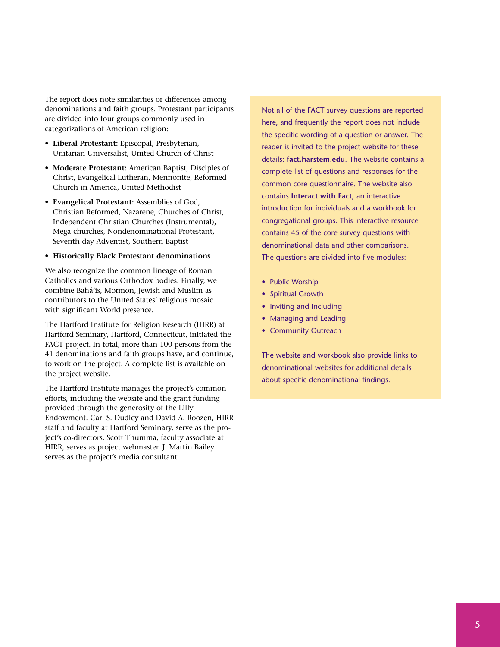The report does note similarities or differences among denominations and faith groups. Protestant participants are divided into four groups commonly used in categorizations of American religion:

- **Liberal Protestant:** Episcopal, Presbyterian, Unitarian-Universalist, United Church of Christ
- **Moderate Protestant:** American Baptist, Disciples of Christ, Evangelical Lutheran, Mennonite, Reformed Church in America, United Methodist
- **Evangelical Protestant:** Assemblies of God, Christian Reformed, Nazarene, Churches of Christ, Independent Christian Churches (Instrumental), Mega-churches, Nondenominational Protestant, Seventh-day Adventist, Southern Baptist
- **Historically Black Protestant denominations**

We also recognize the common lineage of Roman Catholics and various Orthodox bodies. Finally, we combine Bahá'is, Mormon, Jewish and Muslim as contributors to the United States' religious mosaic with significant World presence.

The Hartford Institute for Religion Research (HIRR) at Hartford Seminary, Hartford, Connecticut, initiated the FACT project. In total, more than 100 persons from the 41 denominations and faith groups have, and continue, to work on the project. A complete list is available on the project website.

The Hartford Institute manages the project's common efforts, including the website and the grant funding provided through the generosity of the Lilly Endowment. Carl S. Dudley and David A. Roozen, HIRR staff and faculty at Hartford Seminary, serve as the project's co-directors. Scott Thumma, faculty associate at HIRR, serves as project webmaster. J. Martin Bailey serves as the project's media consultant.

Not all of the FACT survey questions are reported here, and frequently the report does not include the specific wording of a question or answer. The reader is invited to the project website for these details: **fact.harstem.edu**. The website contains a complete list of questions and responses for the common core questionnaire. The website also contains **Interact with Fact,** an interactive introduction for individuals and a workbook for congregational groups. This interactive resource contains 45 of the core survey questions with denominational data and other comparisons. The questions are divided into five modules:

- Public Worship
- Spiritual Growth
- Inviting and Including
- Managing and Leading
- Community Outreach

The website and workbook also provide links to denominational websites for additional details about specific denominational findings.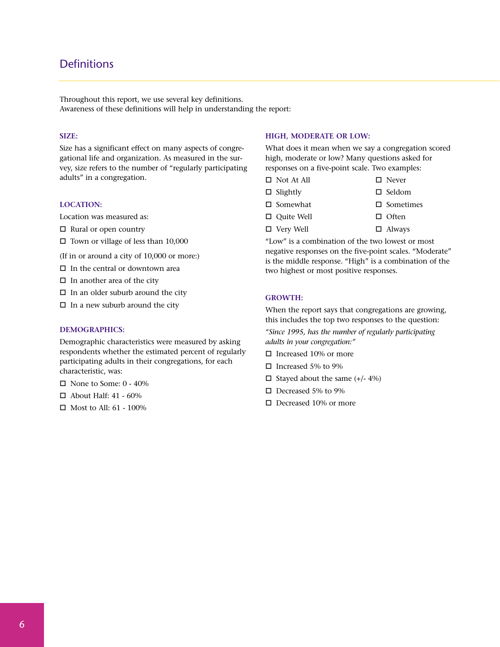## **Definitions**

Throughout this report, we use several key definitions. Awareness of these definitions will help in understanding the report:

#### **SIZE:**

Size has a significant effect on many aspects of congregational life and organization. As measured in the survey, size refers to the number of "regularly participating adults" in a congregation.

#### **LOCATION:**

Location was measured as:

- $\Box$  Rural or open country
- $\Box$  Town or village of less than 10,000
- (If in or around a city of 10,000 or more:)
- $\Box$  <br>In the central or downtown area
- $\Box$  In another area of the city
- $\Box$  In an older suburb around the city
- $\Box$  In a new suburb around the city

#### **DEMOGRAPHICS:**

Demographic characteristics were measured by asking respondents whether the estimated percent of regularly participating adults in their congregations, for each characteristic, was:

- $\Box$  None to Some: 0 40%
- $\Box$  About Half: 41 60%
- $\Box$  Most to All: 61 100%

#### **HIGH, MODERATE OR LOW:**

What does it mean when we say a congregation scored high, moderate or low? Many questions asked for responses on a five-point scale. Two examples:

- $\Box$  Not At All  $\Box$  Never
- $\Box$  Slightly  $\Box$  Seldom
- $\Box$  Somewhat  $\Box$  Sometimes
	-
- $\Box$  Quite Well  $\Box$  Often
- $\Box$  Very Well  $\Box$  Always

"Low" is a combination of the two lowest or most negative responses on the five-point scales. "Moderate" is the middle response. "High" is a combination of the two highest or most positive responses.

#### **GROWTH:**

When the report says that congregations are growing, this includes the top two responses to the question: *"Since 1995, has the number of regularly participating adults in your congregation:"*

- $\Box$  Increased 10% or more
- $\Box$  Increased 5% to 9%
- $\Box$  Stayed about the same (+/- 4%)
- $\Box$  Decreased 5% to 9%
- $\Box$  Decreased 10% or more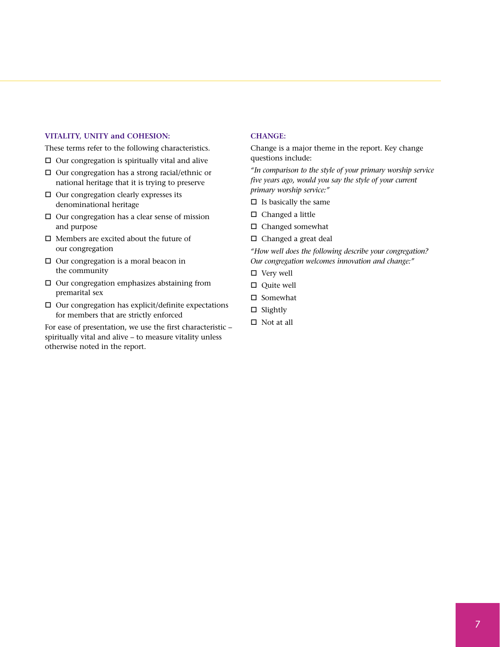#### **VITALITY, UNITY and COHESION:**

These terms refer to the following characteristics.

- $\Box$  Our congregation is spiritually vital and alive
- $\Box$  Our congregation has a strong racial/ethnic or national heritage that it is trying to preserve
- $\Box$  Our congregation clearly expresses its denominational heritage
- $\Box$  Our congregation has a clear sense of mission and purpose
- $\Box$  <br>Members are excited about the future of our congregation
- $\Box$  Our congregation is a moral beacon in the community
- $\Box$  Our congregation emphasizes abstaining from premarital sex
- $\square$  Our congregation has explicit/definite expectations for members that are strictly enforced

For ease of presentation, we use the first characteristic – spiritually vital and alive – to measure vitality unless otherwise noted in the report.

#### **CHANGE:**

Change is a major theme in the report. Key change questions include:

*"In comparison to the style of your primary worship service five years ago, would you say the style of your current primary worship service:"*

- $\square$  Is basically the same
- $\Box$  Changed a little
- $\Box$  Changed somewhat
- $\Box$  Changed a great deal

*"How well does the following describe your congregation? Our congregation welcomes innovation and change:"*

- $\Box$  Very well
- $\Box$  Quite well
- $\square$  Somewhat
- $\square$  Slightly
- $\Box$  Not at all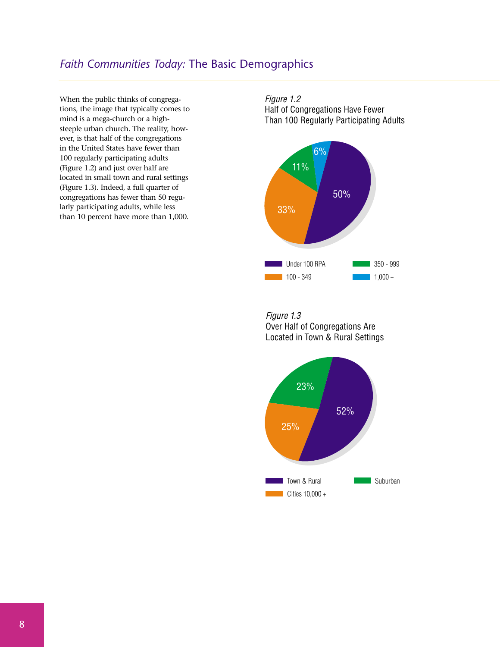# *Faith Communities Today:* The Basic Demographics

When the public thinks of congregations, the image that typically comes to mind is a mega-church or a highsteeple urban church. The reality, however, is that half of the congregations in the United States have fewer than 100 regularly participating adults (Figure 1.2) and just over half are located in small town and rural settings (Figure 1.3). Indeed, a full quarter of congregations has fewer than 50 regularly participating adults, while less than 10 percent have more than 1,000.

Figure 1.2 Half of Congregations Have Fewer Than 100 Regularly Participating Adults



Figure 1.3 Over Half of Congregations Are Located in Town & Rural Settings

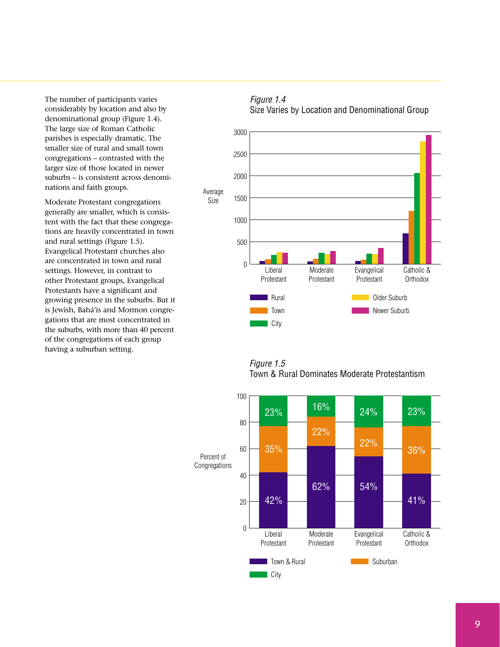The number of participants varies considerably by location and also by denominational group (Figure 1.4). The large size of Roman Catholic parishes is especially dramatic. The smaller size of rural and small town congregations – contrasted with the larger size of those located in newer suburbs – is consistent across denominations and faith groups.

Moderate Protestant congregations generally are smaller, which is consistent with the fact that these congregations are heavily concentrated in town and rural settings (Figure 1.5). Evangelical Protestant churches also are concentrated in town and rural settings. However, in contrast to other Protestant groups, Evangelical Protestants have a significant and growing presence in the suburbs. But it is Jewish, Bahá'is and Mormon congregations that are most concentrated in the suburbs, with more than 40 percent of the congregations of each group having a suburban setting.

# Average Size  $\overline{0}$ 500 1000 1500 2000 2500 3000

Moderate Protestant

Rural Town  $\blacksquare$  City

Liberal Protestant



Figure 1.5 Town & Rural Dominates Moderate Protestantism

**Older Suburb** Newer Suburb

**Evangelical** Protestant

Catholic & **Orthodox** 

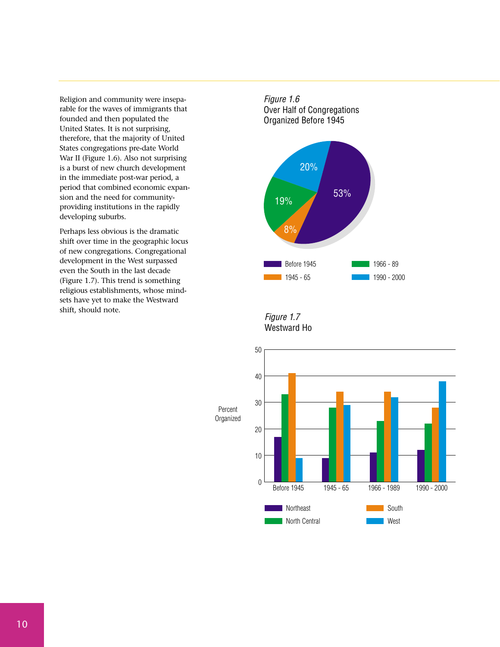Religion and community were inseparable for the waves of immigrants that founded and then populated the United States. It is not surprising, therefore, that the majority of United States congregations pre-date World War II (Figure 1.6). Also not surprising is a burst of new church development in the immediate post-war period, a period that combined economic expansion and the need for communityproviding institutions in the rapidly developing suburbs.

Perhaps less obvious is the dramatic shift over time in the geographic locus of new congregations. Congregational development in the West surpassed even the South in the last decade (Figure 1.7). This trend is something religious establishments, whose mindsets have yet to make the Westward shift, should note.

Figure 1.6 Over Half of Congregations Organized Before 1945



#### Figure 1.7 Westward Ho



Percent **Organized**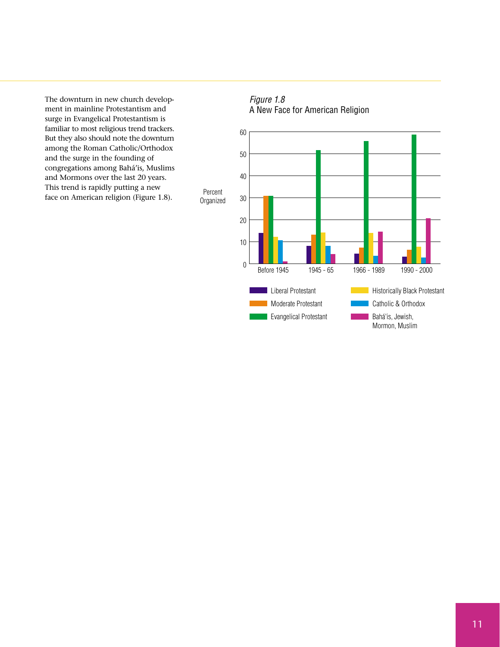The downturn in new church development in mainline Protestantism and surge in Evangelical Protestantism is familiar to most religious trend trackers. But they also should note the downturn among the Roman Catholic/Orthodox and the surge in the founding of congregations among Bahá'is, Muslims and Mormons over the last 20 years. This trend is rapidly putting a new face on American religion (Figure 1.8).



Mormon, Muslim

# Figure 1.8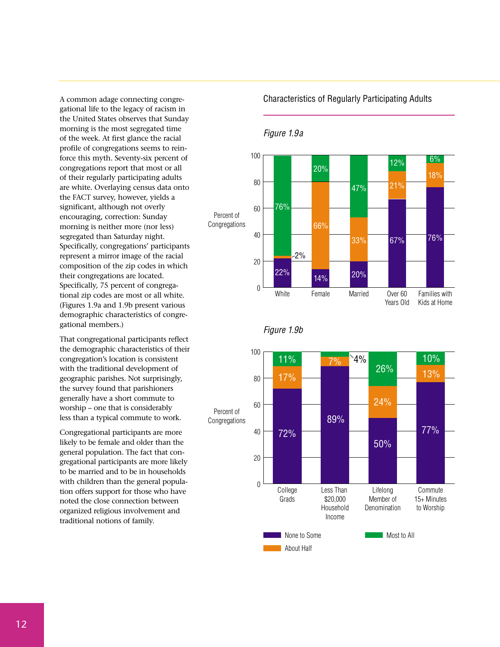A common adage connecting congregational life to the legacy of racism in the United States observes that Sunday morning is the most segregated time of the week. At first glance the racial profile of congregations seems to reinforce this myth. Seventy-six percent of congregations report that most or all of their regularly participating adults are white. Overlaying census data onto the FACT survey, however, yields a significant, although not overly encouraging, correction: Sunday morning is neither more (nor less) segregated than Saturday night. Specifically, congregations' participants represent a mirror image of the racial composition of the zip codes in which their congregations are located. Specifically, 75 percent of congregational zip codes are most or all white. (Figures 1.9a and 1.9b present various demographic characteristics of congregational members.)

That congregational participants reflect the demographic characteristics of their congregation's location is consistent with the traditional development of geographic parishes. Not surprisingly, the survey found that parishioners generally have a short commute to worship – one that is considerably less than a typical commute to work.

Congregational participants are more likely to be female and older than the general population. The fact that congregational participants are more likely to be married and to be in households with children than the general population offers support for those who have noted the close connection between organized religious involvement and traditional notions of family.

Characteristics of Regularly Participating Adults

#### Figure 1.9a



Figure 1.9b

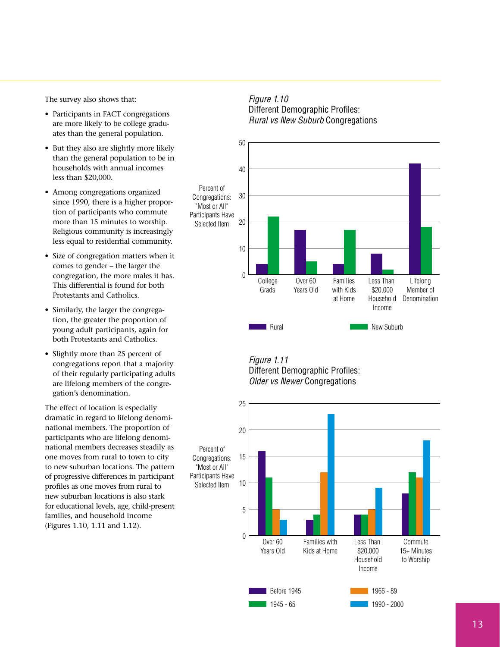The survey also shows that:

- Participants in FACT congregations are more likely to be college graduates than the general population.
- But they also are slightly more likely than the general population to be in households with annual incomes less than \$20,000.
- Among congregations organized since 1990, there is a higher proportion of participants who commute more than 15 minutes to worship. Religious community is increasingly less equal to residential community.
- Size of congregation matters when it comes to gender – the larger the congregation, the more males it has. This differential is found for both Protestants and Catholics.
- Similarly, the larger the congregation, the greater the proportion of young adult participants, again for both Protestants and Catholics.
- Slightly more than 25 percent of congregations report that a majority of their regularly participating adults are lifelong members of the congregation's denomination.

The effect of location is especially dramatic in regard to lifelong denominational members. The proportion of participants who are lifelong denominational members decreases steadily as one moves from rural to town to city to new suburban locations. The pattern of progressive differences in participant profiles as one moves from rural to new suburban locations is also stark for educational levels, age, child-present families, and household income (Figures 1.10, 1.11 and 1.12).





Figure 1.11 Different Demographic Profiles: Older vs Newer Congregations

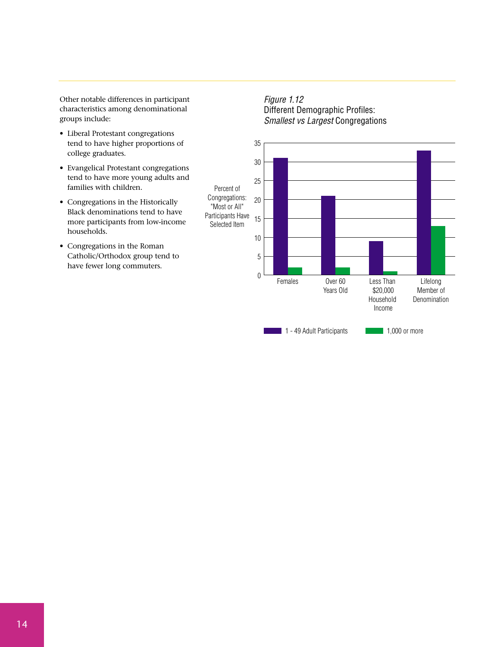Other notable differences in participant characteristics among denominational groups include:

- Liberal Protestant congregations tend to have higher proportions of college graduates.
- Evangelical Protestant congregations tend to have more young adults and families with children.
- Congregations in the Historically Black denominations tend to have more participants from low-income households.
- Congregations in the Roman Catholic/Orthodox group tend to have fewer long commuters.

Figure 1.12 Different Demographic Profiles: Smallest vs Largest Congregations

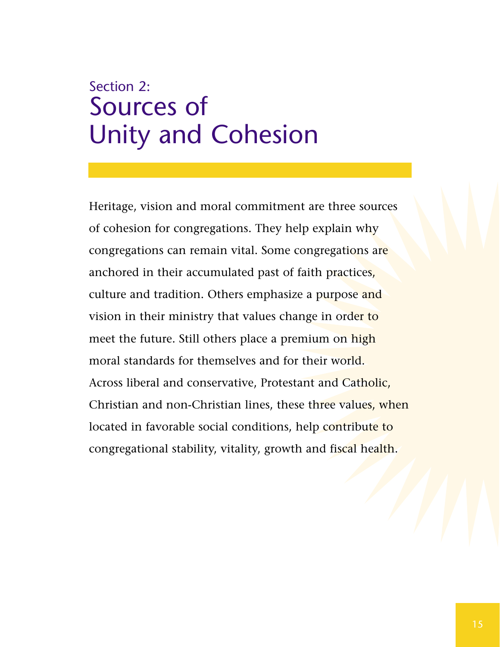# Section 2: Sources of Unity and Cohesion

Heritage, vision and moral commitment are three sources of cohesion for congregations. They help explain why congregations can remain vital. Some congregations are anchored in their accumulated past of faith practices, culture and tradition. Others emphasize a purpose and vision in their ministry that values change in order to meet the future. Still others place a premium on high moral standards for themselves and for their world. Across liberal and conservative, Protestant and Catholic, Christian and non-Christian lines, these three values, when located in favorable social conditions, help contribute to congregational stability, vitality, growth and fiscal health.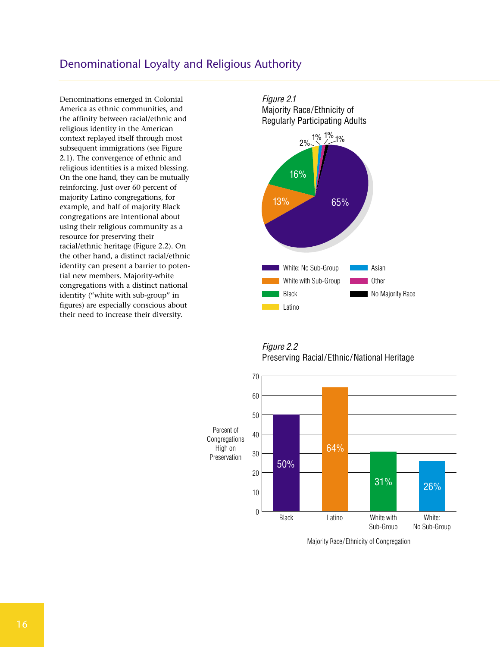### Denominational Loyalty and Religious Authority

Denominations emerged in Colonial America as ethnic communities, and the affinity between racial/ethnic and religious identity in the American context replayed itself through most subsequent immigrations (see Figure 2.1). The convergence of ethnic and religious identities is a mixed blessing. On the one hand, they can be mutually reinforcing. Just over 60 percent of majority Latino congregations, for example, and half of majority Black congregations are intentional about using their religious community as a resource for preserving their racial/ethnic heritage (Figure 2.2). On the other hand, a distinct racial/ethnic identity can present a barrier to potential new members. Majority-white congregations with a distinct national identity ("white with sub-group" in figures) are especially conscious about their need to increase their diversity.



Figure 2.2 Preserving Racial/Ethnic/National Heritage



Majority Race/ Ethnicity of Congregation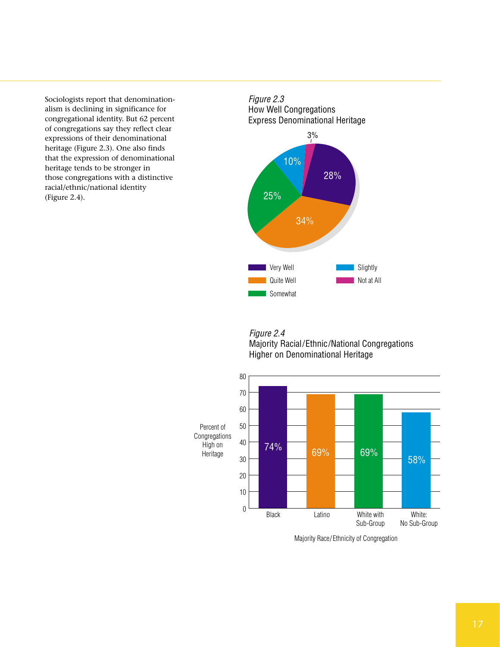Sociologists report that denominationalism is declining in significance for congregational identity. But 62 percent of congregations say they reflect clear expressions of their denominational heritage (Figure 2.3). One also finds that the expression of denominational heritage tends to be stronger in those congregations with a distinctive racial/ethnic/national identity (Figure 2.4).







Majority Race/ Ethnicity of Congregation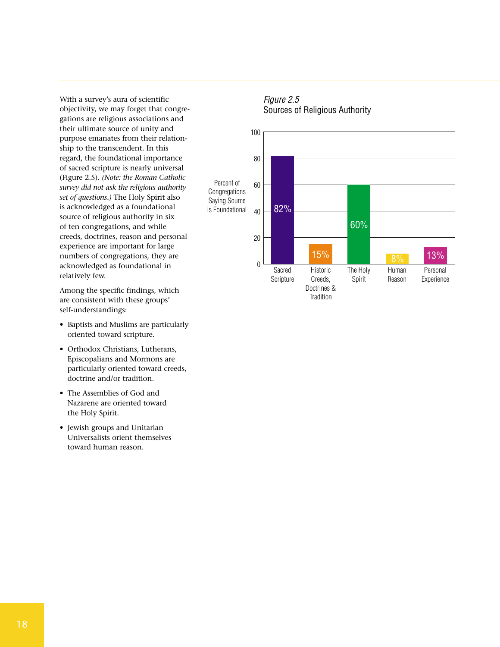With a survey's aura of scientific objectivity, we may forget that congregations are religious associations and their ultimate source of unity and purpose emanates from their relationship to the transcendent. In this regard, the foundational importance of sacred scripture is nearly universal (Figure 2.5). *(Note: the Roman Catholic survey did not ask the religious authority set of questions.)* The Holy Spirit also is acknowledged as a foundational source of religious authority in six of ten congregations, and while creeds, doctrines, reason and personal experience are important for large numbers of congregations, they are acknowledged as foundational in relatively few.

Among the specific findings, which are consistent with these groups' self-understandings:

- Baptists and Muslims are particularly oriented toward scripture.
- Orthodox Christians, Lutherans, Episcopalians and Mormons are particularly oriented toward creeds, doctrine and/or tradition.
- The Assemblies of God and Nazarene are oriented toward the Holy Spirit.
- Jewish groups and Unitarian Universalists orient themselves toward human reason.



### Figure 2.5 Sources of Religious Authority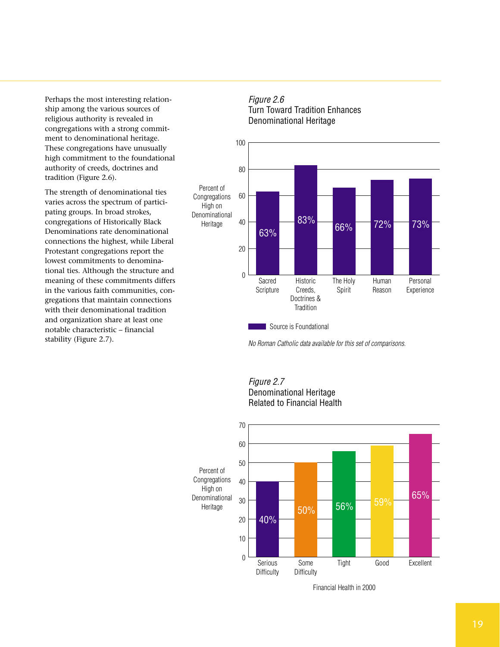Perhaps the most interesting relationship among the various sources of religious authority is revealed in congregations with a strong commitment to denominational heritage. These congregations have unusually high commitment to the foundational authority of creeds, doctrines and tradition (Figure 2.6).

The strength of denominational ties varies across the spectrum of participating groups. In broad strokes, congregations of Historically Black Denominations rate denominational connections the highest, while Liberal Protestant congregations report the lowest commitments to denominational ties. Although the structure and meaning of these commitments differs in the various faith communities, congregations that maintain connections with their denominational tradition and organization share at least one notable characteristic – financial stability (Figure 2.7).





No Roman Catholic data available for this set of comparisons.





Financial Health in 2000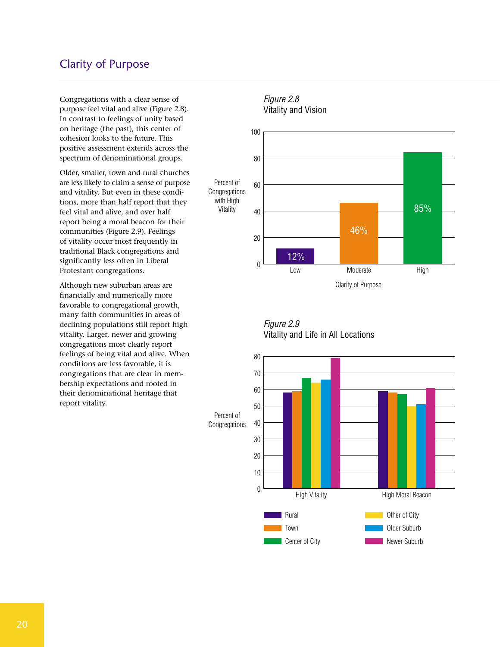# Clarity of Purpose

Congregations with a clear sense of purpose feel vital and alive (Figure 2.8). In contrast to feelings of unity based on heritage (the past), this center of cohesion looks to the future. This positive assessment extends across the spectrum of denominational groups.

Older, smaller, town and rural churches are less likely to claim a sense of purpose and vitality. But even in these conditions, more than half report that they feel vital and alive, and over half report being a moral beacon for their communities (Figure 2.9). Feelings of vitality occur most frequently in traditional Black congregations and significantly less often in Liberal Protestant congregations.

Although new suburban areas are financially and numerically more favorable to congregational growth, many faith communities in areas of declining populations still report high vitality. Larger, newer and growing congregations most clearly report feelings of being vital and alive. When conditions are less favorable, it is congregations that are clear in membership expectations and rooted in their denominational heritage that report vitality.



# Figure 2.8



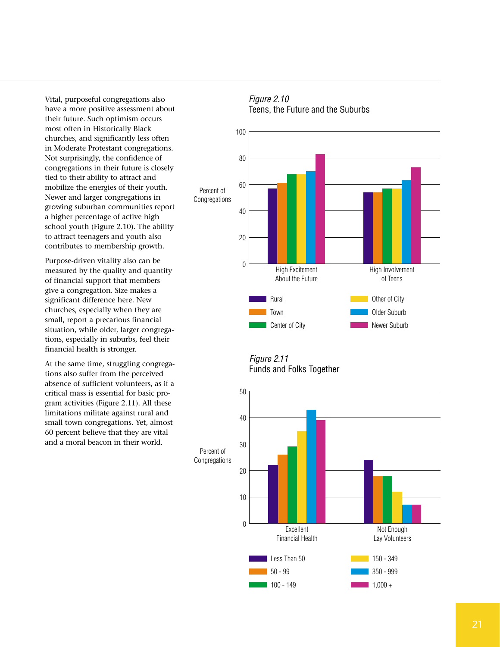Vital, purposeful congregations also have a more positive assessment about their future. Such optimism occurs most often in Historically Black churches, and significantly less often in Moderate Protestant congregations. Not surprisingly, the confidence of congregations in their future is closely tied to their ability to attract and mobilize the energies of their youth. Newer and larger congregations in growing suburban communities report a higher percentage of active high school youth (Figure 2.10). The ability to attract teenagers and youth also contributes to membership growth.

Purpose-driven vitality also can be measured by the quality and quantity of financial support that members give a congregation. Size makes a significant difference here. New churches, especially when they are small, report a precarious financial situation, while older, larger congregations, especially in suburbs, feel their financial health is stronger.

At the same time, struggling congregations also suffer from the perceived absence of sufficient volunteers, as if a critical mass is essential for basic program activities (Figure 2.11). All these limitations militate against rural and small town congregations. Yet, almost 60 percent believe that they are vital and a moral beacon in their world.



Figure 2.10 Teens, the Future and the Suburbs

Figure 2.11 Funds and Folks Together

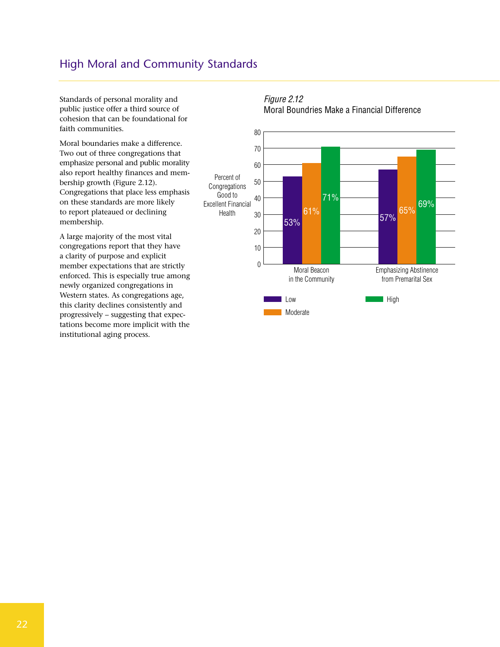# High Moral and Community Standards

Standards of personal morality and public justice offer a third source of cohesion that can be foundational for faith communities.

Moral boundaries make a difference. Two out of three congregations that emphasize personal and public morality also report healthy finances and membership growth (Figure 2.12). Congregations that place less emphasis on these standards are more likely to report plateaued or declining membership.

A large majority of the most vital congregations report that they have a clarity of purpose and explicit member expectations that are strictly enforced. This is especially true among newly organized congregations in Western states. As congregations age, this clarity declines consistently and progressively – suggesting that expectations become more implicit with the institutional aging process.





# Figure 2.12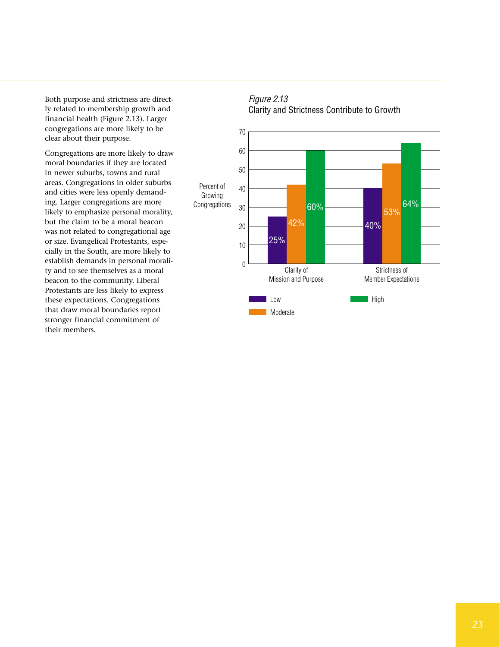Both purpose and strictness are directly related to membership growth and financial health (Figure 2.13). Larger congregations are more likely to be clear about their purpose.

Congregations are more likely to draw moral boundaries if they are located in newer suburbs, towns and rural areas. Congregations in older suburbs and cities were less openly demanding. Larger congregations are more likely to emphasize personal morality, but the claim to be a moral beacon was not related to congregational age or size. Evangelical Protestants, especially in the South, are more likely to establish demands in personal morality and to see themselves as a moral beacon to the community. Liberal Protestants are less likely to express these expectations. Congregations that draw moral boundaries report stronger financial commitment of their members.



0

**Low Moderate** 

25%

Clarity of Mission and Purpose

10

# Figure 2.13

Strictness of Member Expectations

 $\blacksquare$  High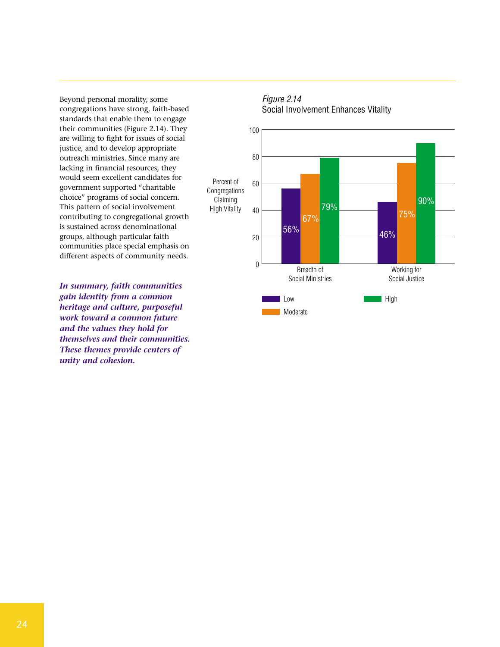Beyond personal morality, some congregations have strong, faith-based standards that enable them to engage their communities (Figure 2.14). They are willing to fight for issues of social justice, and to develop appropriate outreach ministries. Since many are lacking in financial resources, they would seem excellent candidates for government supported "charitable choice" programs of social concern. This pattern of social involvement contributing to congregational growth is sustained across denominational groups, although particular faith communities place special emphasis on different aspects of community needs.

*In summary, faith communities gain identity from a common heritage and culture, purposeful work toward a common future and the values they hold for themselves and their communities. These themes provide centers of unity and cohesion.*



**Moderate** 

#### Figure 2.14 Social Involvement Enhances Vitality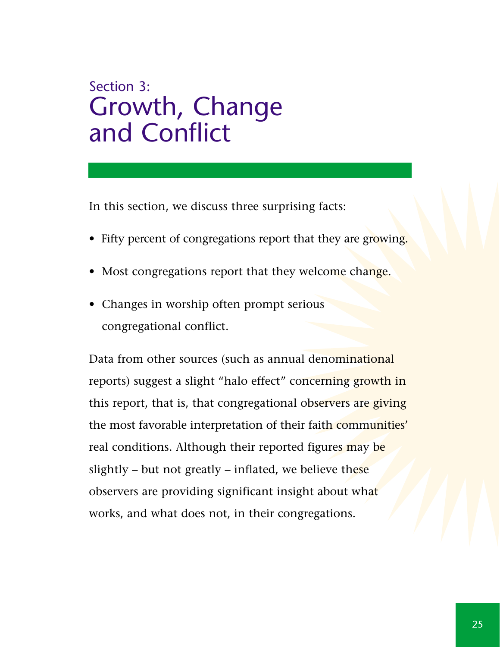# Section 3: Growth, Change and Conflict

In this section, we discuss three surprising facts:

- Fifty percent of congregations report that they are growing.
- Most congregations report that they welcome change.
- Changes in worship often prompt serious congregational conflict.

Data from other sources (such as annual denominational reports) suggest a slight "halo effect" concerning growth in this report, that is, that congregational observers are giving the most favorable interpretation of their faith communities' real conditions. Although their reported figures may be slightly – but not greatly – inflated, we believe these observers are providing significant insight about what works, and what does not, in their congregations.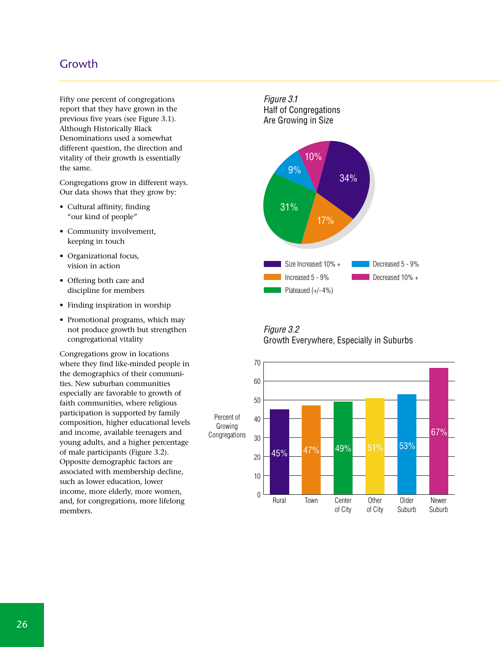## Growth

Fifty one percent of congregations report that they have grown in the previous five years (see Figure 3.1). Although Historically Black Denominations used a somewhat different question, the direction and vitality of their growth is essentially the same.

Congregations grow in different ways. Our data shows that they grow by:

- Cultural affinity, finding "our kind of people"
- Community involvement, keeping in touch
- Organizational focus, vision in action
- Offering both care and discipline for members
- Finding inspiration in worship
- Promotional programs, which may not produce growth but strengthen congregational vitality

Congregations grow in locations where they find like-minded people in the demographics of their communities. New suburban communities especially are favorable to growth of faith communities, where religious participation is supported by family composition, higher educational levels and income, available teenagers and young adults, and a higher percentage of male participants (Figure 3.2). Opposite demographic factors are associated with membership decline, such as lower education, lower income, more elderly, more women, and, for congregations, more lifelong members.

Figure 3.1 Half of Congregations Are Growing in Size



#### Figure 3.2 Growth Everywhere, Especially in Suburbs

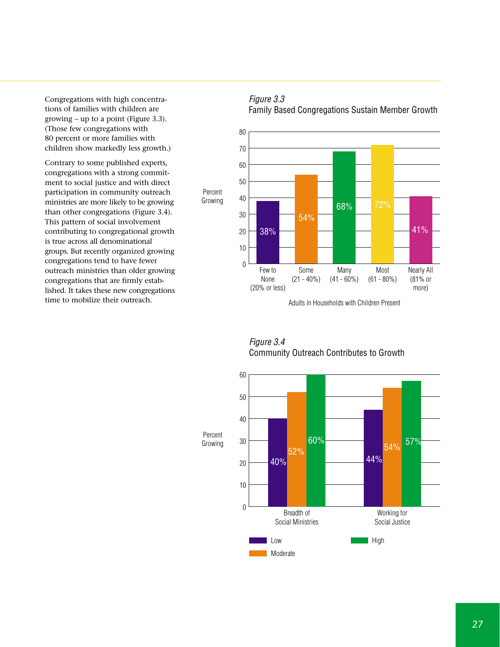Congregations with high concentrations of families with children are growing – up to a point (Figure 3.3). (Those few congregations with 80 percent or more families with children show markedly less growth.)

Contrary to some published experts, congregations with a strong commitment to social justice and with direct participation in community outreach ministries are more likely to be growing than other congregations (Figure 3.4). This pattern of social involvement contributing to congregational growth is true across all denominational groups. But recently organized growing congregations tend to have fewer outreach ministries than older growing congregations that are firmly established. It takes these new congregations time to mobilize their outreach.

#### Figure 3.3 Family Based Congregations Sustain Member Growth



Figure 3.4 Community Outreach Contributes to Growth

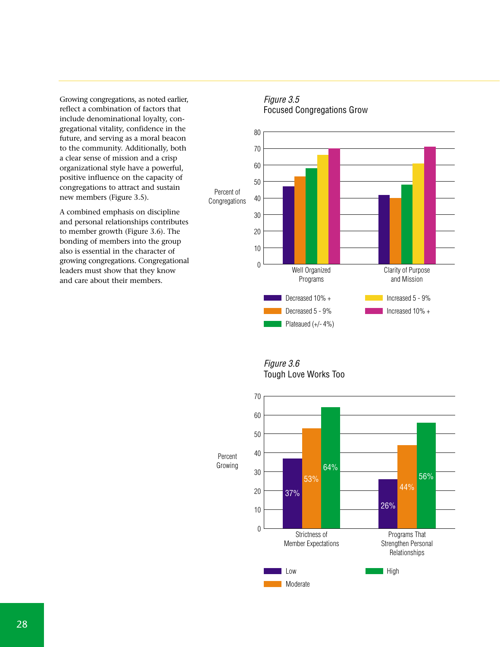Growing congregations, as noted earlier, reflect a combination of factors that include denominational loyalty, congregational vitality, confidence in the future, and serving as a moral beacon to the community. Additionally, both a clear sense of mission and a crisp organizational style have a powerful, positive influence on the capacity of congregations to attract and sustain new members (Figure 3.5).

A combined emphasis on discipline and personal relationships contributes to member growth (Figure 3.6). The bonding of members into the group also is essential in the character of growing congregations. Congregational leaders must show that they know and care about their members.

#### Percent of Congregations Decreased 10% + Decreased 5 - 9% Plateaued (+/- 4%) Increased 5 - 9% Increased 10% + 0 10 20 30 40 50 60 70 80 Clarity of Purpose and Mission Well Organized Programs

#### Figure 3.5 Focused Congregations Grow

Figure 3.6 Tough Love Works Too

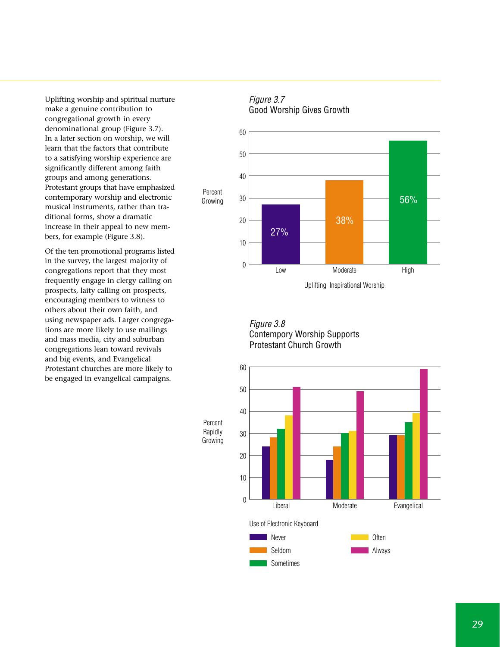Uplifting worship and spiritual nurture make a genuine contribution to congregational growth in every denominational group (Figure 3.7). In a later section on worship, we will learn that the factors that contribute to a satisfying worship experience are significantly different among faith groups and among generations. Protestant groups that have emphasized contemporary worship and electronic musical instruments, rather than traditional forms, show a dramatic increase in their appeal to new members, for example (Figure 3.8).

Of the ten promotional programs listed in the survey, the largest majority of congregations report that they most frequently engage in clergy calling on prospects, laity calling on prospects, encouraging members to witness to others about their own faith, and using newspaper ads. Larger congregations are more likely to use mailings and mass media, city and suburban congregations lean toward revivals and big events, and Evangelical Protestant churches are more likely to be engaged in evangelical campaigns.

#### Figure 3.7 Good Worship Gives Growth



Figure 3.8 Contempory Worship Supports Protestant Church Growth



Percent Rapidly Growing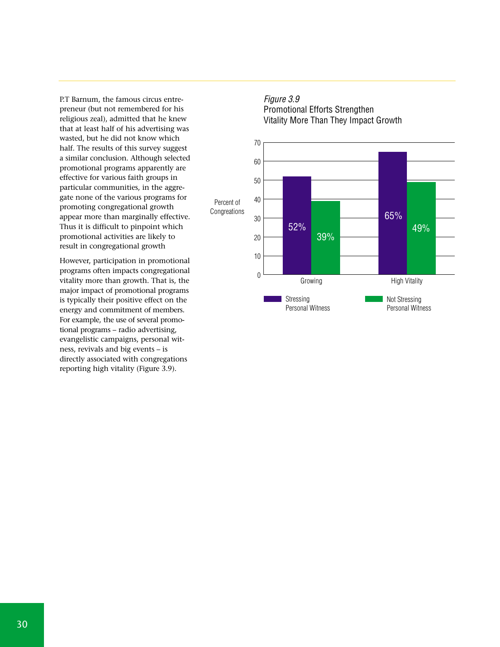P.T Barnum, the famous circus entrepreneur (but not remembered for his religious zeal), admitted that he knew that at least half of his advertising was wasted, but he did not know which half. The results of this survey suggest a similar conclusion. Although selected promotional programs apparently are effective for various faith groups in particular communities, in the aggregate none of the various programs for promoting congregational growth appear more than marginally effective. Thus it is difficult to pinpoint which promotional activities are likely to result in congregational growth

However, participation in promotional programs often impacts congregational vitality more than growth. That is, the major impact of promotional programs is typically their positive effect on the energy and commitment of members. For example, the use of several promotional programs – radio advertising, evangelistic campaigns, personal witness, revivals and big events – is directly associated with congregations reporting high vitality (Figure 3.9).

#### Figure 3.9 Promotional Efforts Strengthen Vitality More Than They Impact Growth

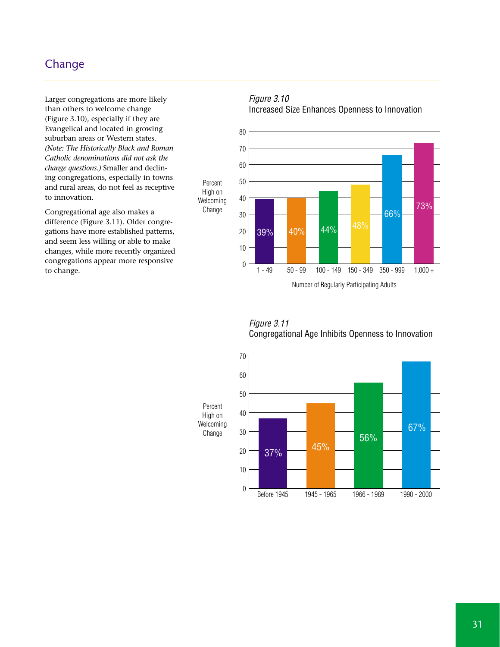# **Change**

Larger congregations are more likely than others to welcome change (Figure 3.10), especially if they are Evangelical and located in growing suburban areas or Western states. *(Note: The Historically Black and Roman Catholic denominations did not ask the change questions.)* Smaller and declining congregations, especially in towns and rural areas, do not feel as receptive to innovation.

Congregational age also makes a difference (Figure 3.11). Older congregations have more established patterns, and seem less willing or able to make changes, while more recently organized congregations appear more responsive to change.

#### Figure 3.10 Increased Size Enhances Openness to Innovation



Figure 3.11

Congregational Age Inhibits Openness to Innovation

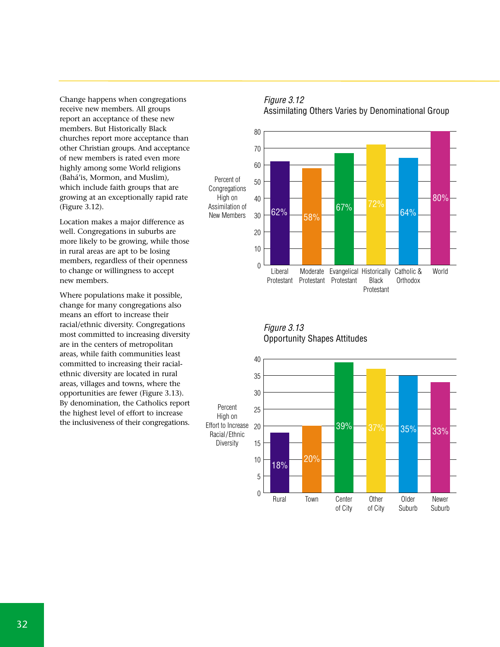Change happens when congregations receive new members. All groups report an acceptance of these new members. But Historically Black churches report more acceptance than other Christian groups. And acceptance of new members is rated even more highly among some World religions (Bahá'is, Mormon, and Muslim), which include faith groups that are growing at an exceptionally rapid rate (Figure 3.12).

Location makes a major difference as well. Congregations in suburbs are more likely to be growing, while those in rural areas are apt to be losing members, regardless of their openness to change or willingness to accept new members.

Where populations make it possible, change for many congregations also means an effort to increase their racial/ethnic diversity. Congregations most committed to increasing diversity are in the centers of metropolitan areas, while faith communities least committed to increasing their racialethnic diversity are located in rural areas, villages and towns, where the opportunities are fewer (Figure 3.13). By denomination, the Catholics report the highest level of effort to increase the inclusiveness of their congregations.

Figure 3.12 Assimilating Others Varies by Denominational Group



Figure 3.13 Opportunity Shapes Attitudes

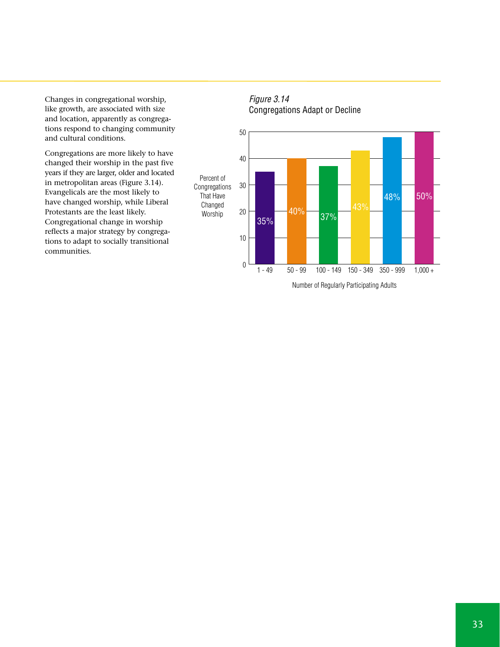Changes in congregational worship, like growth, are associated with size and location, apparently as congregations respond to changing community and cultural conditions.

Congregations are more likely to have changed their worship in the past five years if they are larger, older and located in metropolitan areas (Figure 3.14). Evangelicals are the most likely to have changed worship, while Liberal Protestants are the least likely. Congregational change in worship reflects a major strategy by congregations to adapt to socially transitional communities.



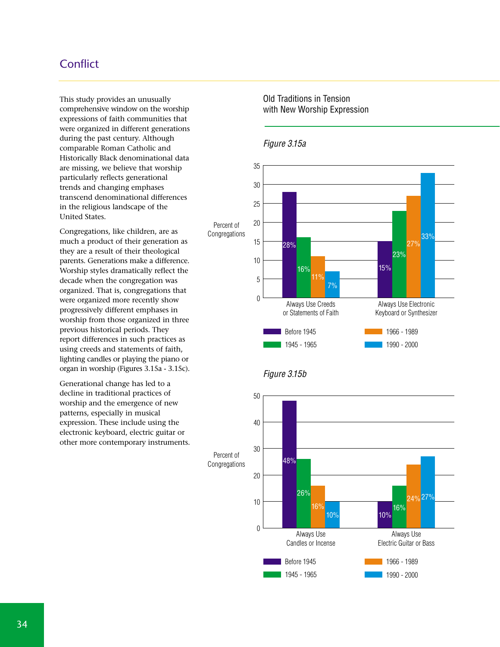# **Conflict**

This study provides an unusually comprehensive window on the worship expressions of faith communities that were organized in different generations during the past century. Although comparable Roman Catholic and Historically Black denominational data are missing, we believe that worship particularly reflects generational trends and changing emphases transcend denominational differences in the religious landscape of the United States.

Congregations, like children, are as much a product of their generation as they are a result of their theological parents. Generations make a difference. Worship styles dramatically reflect the decade when the congregation was organized. That is, congregations that were organized more recently show progressively different emphases in worship from those organized in three previous historical periods. They report differences in such practices as using creeds and statements of faith, lighting candles or playing the piano or organ in worship (Figures 3.15a - 3.15c).

Generational change has led to a decline in traditional practices of worship and the emergence of new patterns, especially in musical expression. These include using the electronic keyboard, electric guitar or other more contemporary instruments.

#### Old Traditions in Tension with New Worship Expression



#### Figure 3.15a



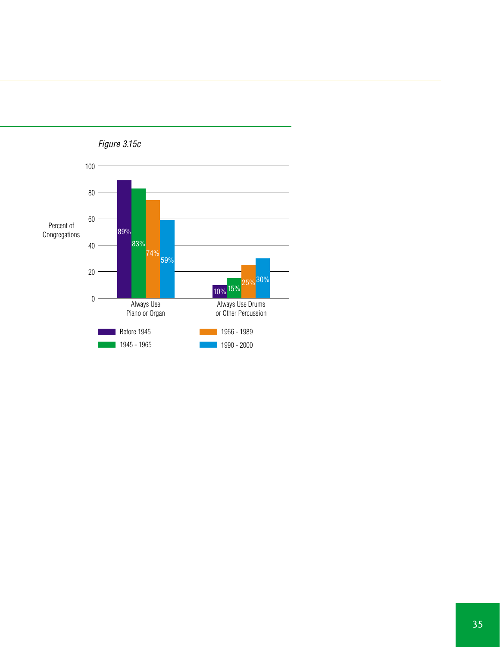

Figure 3.15c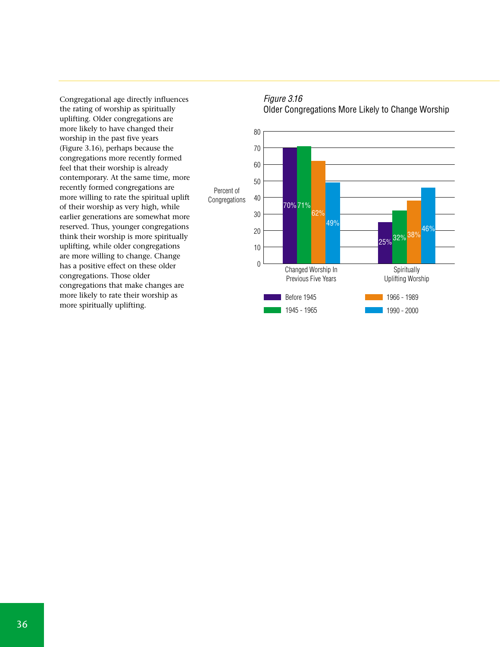Congregational age directly influences the rating of worship as spiritually uplifting. Older congregations are more likely to have changed their worship in the past five years (Figure 3.16), perhaps because the congregations more recently formed feel that their worship is already contemporary. At the same time, more recently formed congregations are more willing to rate the spiritual uplift of their worship as very high, while earlier generations are somewhat more reserved. Thus, younger congregations think their worship is more spiritually uplifting, while older congregations are more willing to change. Change has a positive effect on these older congregations. Those older congregations that make changes are more likely to rate their worship as more spiritually uplifting.



#### Figure 3.16 Older Congregations More Likely to Change Worship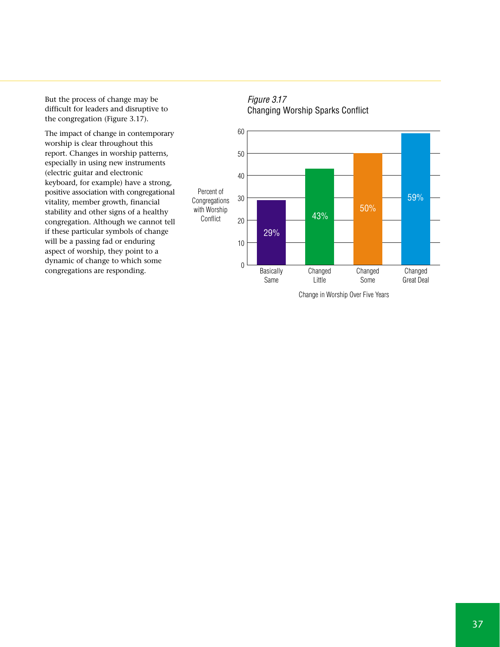But the process of change may be difficult for leaders and disruptive to the congregation (Figure 3.17).

The impact of change in contemporary worship is clear throughout this report. Changes in worship patterns, especially in using new instruments (electric guitar and electronic keyboard, for example) have a strong, positive association with congregational vitality, member growth, financial stability and other signs of a healthy congregation. Although we cannot tell if these particular symbols of change will be a passing fad or enduring aspect of worship, they point to a dynamic of change to which some congregations are responding.





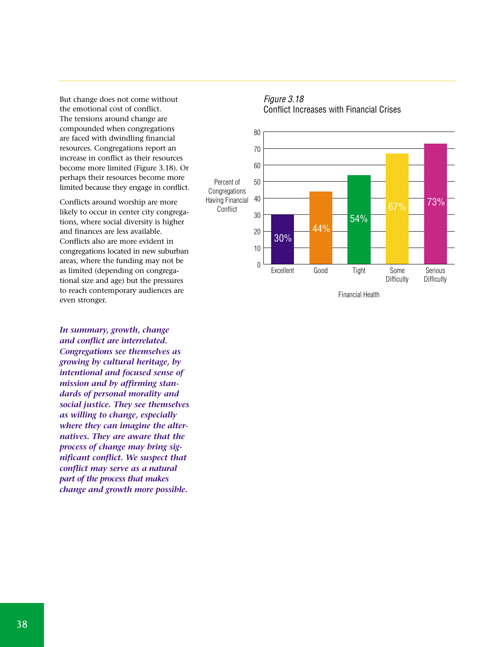But change does not come without the emotional cost of conflict. The tensions around change are compounded when congregations are faced with dwindling financial resources. Congregations report an increase in conflict as their resources become more limited (Figure 3.18). Or perhaps their resources become more limited because they engage in conflict.

Conflicts around worship are more likely to occur in center city congregations, where social diversity is higher and finances are less available. Conflicts also are more evident in congregations located in new suburban areas, where the funding may not be as limited (depending on congregational size and age) but the pressures to reach contemporary audiences are even stronger.

*In summary, growth, change and conflict are interrelated. Congregations see themselves as growing by cultural heritage, by intentional and focused sense of mission and by affirming standards of personal morality and social justice. They see themselves as willing to change, especially where they can imagine the alternatives. They are aware that the process of change may bring significant conflict. We suspect that conflict may serve as a natural part of the process that makes change and growth more possible.*



#### Figure 3.18 Conflict Increases with Financial Crises

Financial Health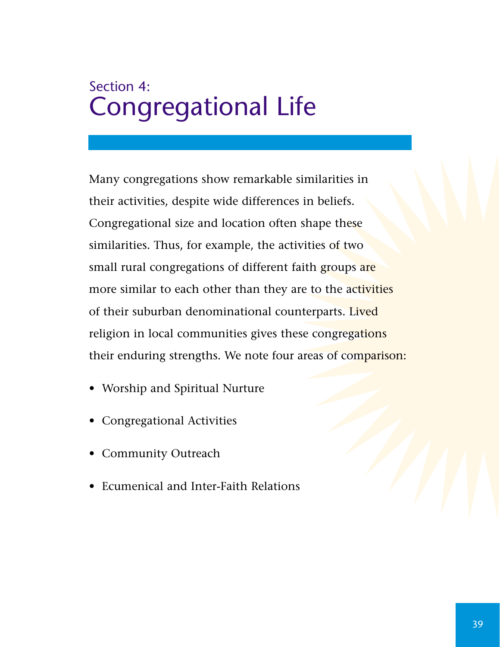# Section 4: Congregational Life

Many congregations show remarkable similarities in their activities, despite wide differences in beliefs. Congregational size and location often shape these similarities. Thus, for example, the activities of two small rural congregations of different faith groups are more similar to each other than they are to the activities of their suburban denominational counterparts. Lived religion in local communities gives these congregations their enduring strengths. We note four areas of comparison:

- Worship and Spiritual Nurture
- Congregational Activities
- Community Outreach
- Ecumenical and Inter-Faith Relations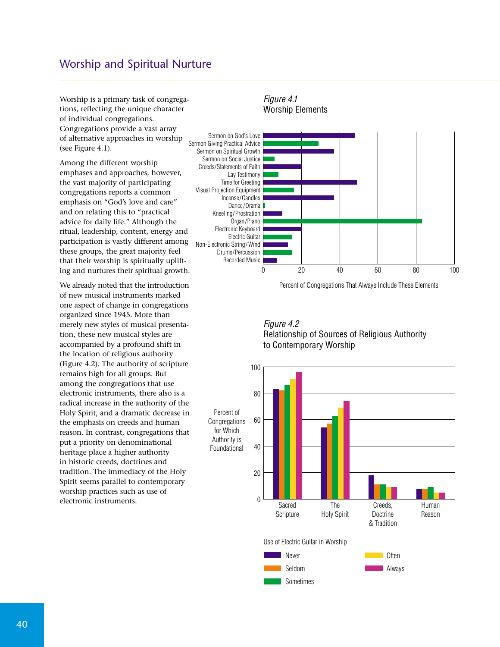### Worship and Spiritual Nurture

Worship is a primary task of congregations, reflecting the unique character of individual congregations. Congregations provide a vast array of alternative approaches in worship (see Figure 4.1).

Among the different worship emphases and approaches, however, the vast majority of participating congregations reports a common emphasis on "God's love and care" and on relating this to "practical advice for daily life." Although the ritual, leadership, content, energy and participation is vastly different among these groups, the great majority feel that their worship is spiritually uplifting and nurtures their spiritual growth.

We already noted that the introduction of new musical instruments marked one aspect of change in congregations organized since 1945. More than merely new styles of musical presentation, these new musical styles are accompanied by a profound shift in the location of religious authority (Figure 4.2). The authority of scripture remains high for all groups. But among the congregations that use electronic instruments, there also is a radical increase in the authority of the Holy Spirit, and a dramatic decrease in the emphasis on creeds and human reason. In contrast, congregations that put a priority on denominational heritage place a higher authority in historic creeds, doctrines and tradition. The immediacy of the Holy Spirit seems parallel to contemporary worship practices such as use of electronic instruments.



Percent of Congregations That Always Include These Elements



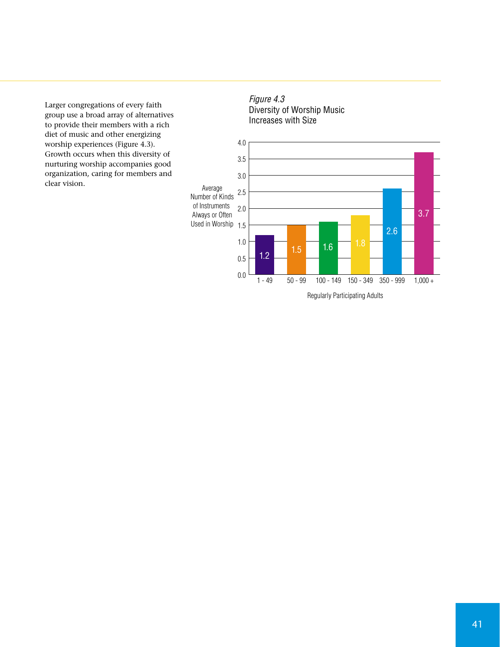Larger congregations of every faith group use a broad array of alternatives to provide their members with a rich diet of music and other energizing worship experiences (Figure 4.3). Growth occurs when this diversity of nurturing worship accompanies good organization, caring for members and clear vision.



Figure 4.3

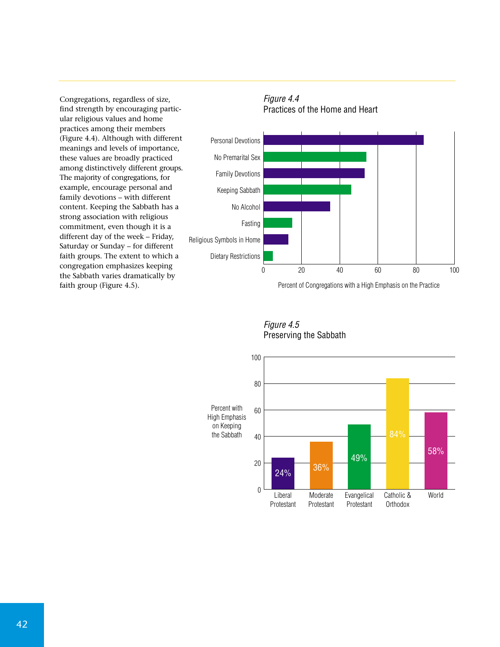Congregations, regardless of size, find strength by encouraging particular religious values and home practices among their members (Figure 4.4). Although with different meanings and levels of importance, these values are broadly practiced among distinctively different groups. The majority of congregations, for example, encourage personal and family devotions – with different content. Keeping the Sabbath has a strong association with religious commitment, even though it is a different day of the week – Friday, Saturday or Sunday – for different faith groups. The extent to which a congregation emphasizes keeping the Sabbath varies dramatically by faith group (Figure 4.5).



Percent of Congregations with a High Emphasis on the Practice



Figure 4.5 Preserving the Sabbath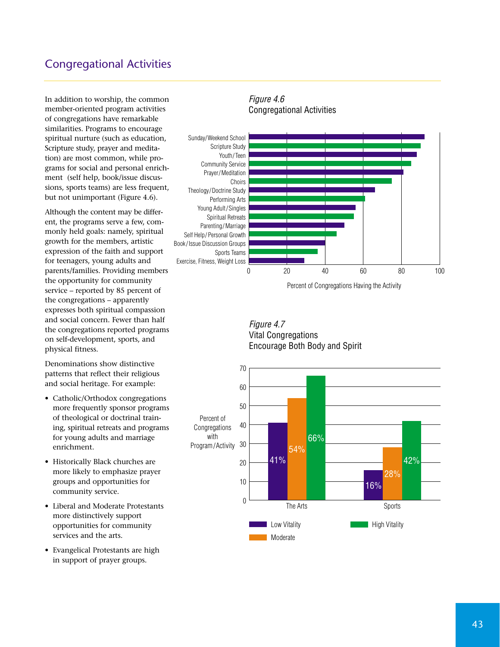# Congregational Activities

In addition to worship, the common member-oriented program activities of congregations have remarkable similarities. Programs to encourage spiritual nurture (such as education, Scripture study, prayer and meditation) are most common, while programs for social and personal enrichment (self help, book/issue discussions, sports teams) are less frequent, but not unimportant (Figure 4.6).

Although the content may be different, the programs serve a few, commonly held goals: namely, spiritual growth for the members, artistic expression of the faith and support for teenagers, young adults and parents/families. Providing members the opportunity for community service – reported by 85 percent of the congregations – apparently expresses both spiritual compassion and social concern. Fewer than half the congregations reported programs on self-development, sports, and physical fitness.

Denominations show distinctive patterns that reflect their religious and social heritage. For example:

- Catholic/Orthodox congregations more frequently sponsor programs of theological or doctrinal training, spiritual retreats and programs for young adults and marriage enrichment.
- Historically Black churches are more likely to emphasize prayer groups and opportunities for community service.
- Liberal and Moderate Protestants more distinctively support opportunities for community services and the arts.
- Evangelical Protestants are high in support of prayer groups.

#### Figure 4.6 Congregational Activities



Figure 4.7 Vital Congregations Encourage Both Body and Spirit

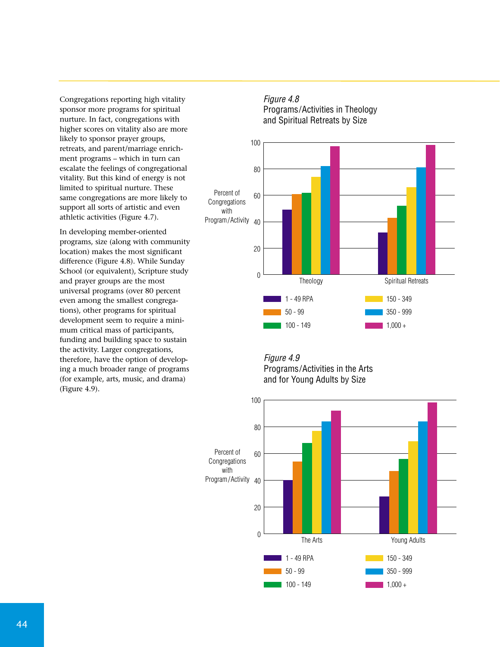Congregations reporting high vitality sponsor more programs for spiritual nurture. In fact, congregations with higher scores on vitality also are more likely to sponsor prayer groups, retreats, and parent/marriage enrichment programs – which in turn can escalate the feelings of congregational vitality. But this kind of energy is not limited to spiritual nurture. These same congregations are more likely to support all sorts of artistic and even athletic activities (Figure 4.7).

In developing member-oriented programs, size (along with community location) makes the most significant difference (Figure 4.8). While Sunday School (or equivalent), Scripture study and prayer groups are the most universal programs (over 80 percent even among the smallest congregations), other programs for spiritual development seem to require a minimum critical mass of participants, funding and building space to sustain the activity. Larger congregations, therefore, have the option of developing a much broader range of programs (for example, arts, music, and drama) (Figure 4.9).

#### Figure 4.8 Programs/Activities in Theology and Spiritual Retreats by Size



#### Figure 4.9 Programs/Activities in the Arts and for Young Adults by Size

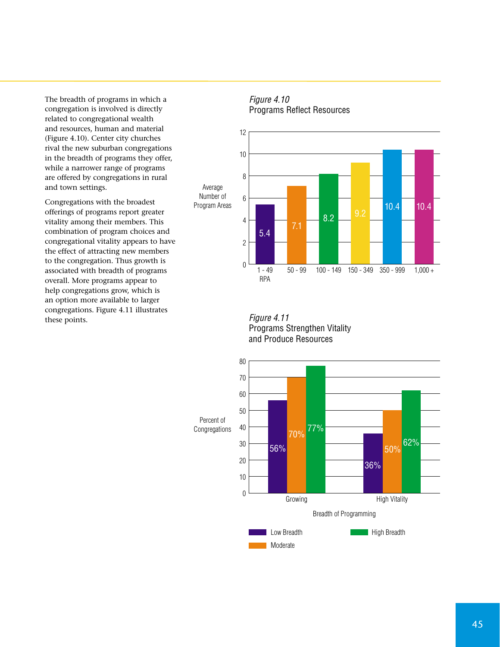The breadth of programs in which a congregation is involved is directly related to congregational wealth and resources, human and material (Figure 4.10). Center city churches rival the new suburban congregations in the breadth of programs they offer, while a narrower range of programs are offered by congregations in rural and town settings.

Congregations with the broadest offerings of programs report greater vitality among their members. This combination of program choices and congregational vitality appears to have the effect of attracting new members to the congregation. Thus growth is associated with breadth of programs overall. More programs appear to help congregations grow, which is an option more available to larger congregations. Figure 4.11 illustrates these points.

#### Figure 4.10 Programs Reflect Resources



Figure 4.11 Programs Strengthen Vitality and Produce Resources

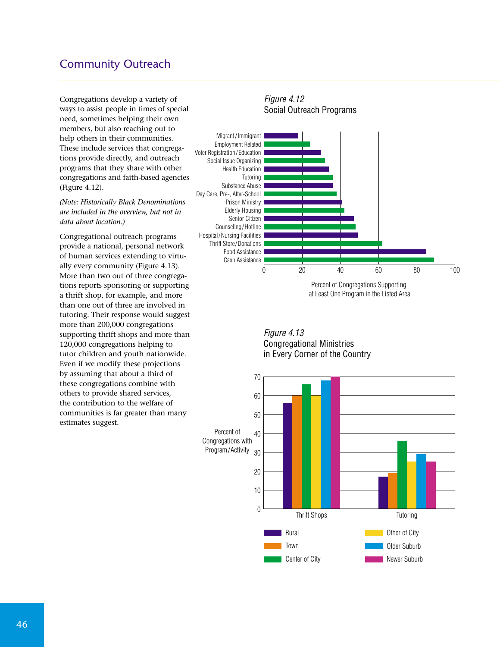# Community Outreach

Congregations develop a variety of ways to assist people in times of special need, sometimes helping their own members, but also reaching out to help others in their communities. These include services that congregations provide directly, and outreach programs that they share with other congregations and faith-based agencies (Figure 4.12).

*(Note: Historically Black Denominations are included in the overview, but not in data about location.)* 

Congregational outreach programs provide a national, personal network of human services extending to virtually every community (Figure 4.13). More than two out of three congregations reports sponsoring or supporting a thrift shop, for example, and more than one out of three are involved in tutoring. Their response would suggest more than 200,000 congregations supporting thrift shops and more than 120,000 congregations helping to tutor children and youth nationwide. Even if we modify these projections by assuming that about a third of these congregations combine with others to provide shared services, the contribution to the welfare of communities is far greater than many estimates suggest.

#### Figure 4.12 Social Outreach Programs 0 20 40 60 80 100 Cash Assistance Food Assistance Thrift Store/Donations Hospital/Nursing Facilities Counseling/Hotline Senior Citizen Elderly Housing Prison Ministry Day Care, Pre-, After-School Substance Abuse Tutoring Health Education Social Issue Organizing Voter Registration/ Education Employment Related Migrant / Immigrant Percent of Congregations Supporting

at Least One Program in the Listed Area

Figure 4.13 Congregational Ministries in Every Corner of the Country

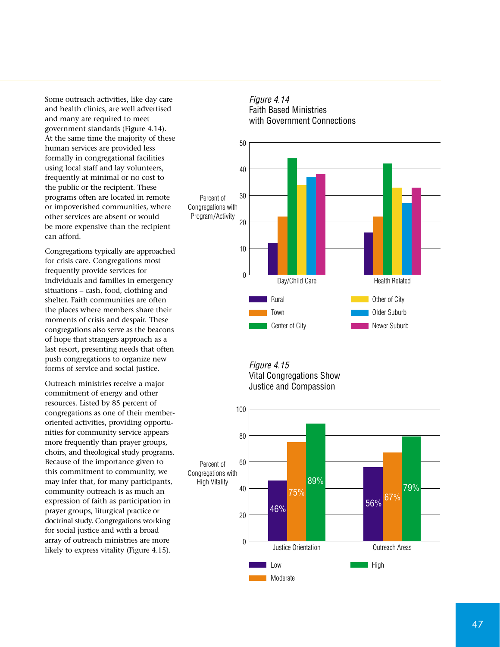Some outreach activities, like day care and health clinics, are well advertised and many are required to meet government standards (Figure 4.14). At the same time the majority of these human services are provided less formally in congregational facilities using local staff and lay volunteers, frequently at minimal or no cost to the public or the recipient. These programs often are located in remote or impoverished communities, where other services are absent or would be more expensive than the recipient can afford.

Congregations typically are approached for crisis care. Congregations most frequently provide services for individuals and families in emergency situations – cash, food, clothing and shelter. Faith communities are often the places where members share their moments of crisis and despair. These congregations also serve as the beacons of hope that strangers approach as a last resort, presenting needs that often push congregations to organize new forms of service and social justice.

Outreach ministries receive a major commitment of energy and other resources. Listed by 85 percent of congregations as one of their memberoriented activities, providing opportunities for community service appears more frequently than prayer groups, choirs, and theological study programs. Because of the importance given to this commitment to community, we may infer that, for many participants, community outreach is as much an expression of faith as participation in prayer groups, liturgical practice or doctrinal study. Congregations working for social justice and with a broad array of outreach ministries are more likely to express vitality (Figure 4.15).





Figure 4.15 Vital Congregations Show Justice and Compassion

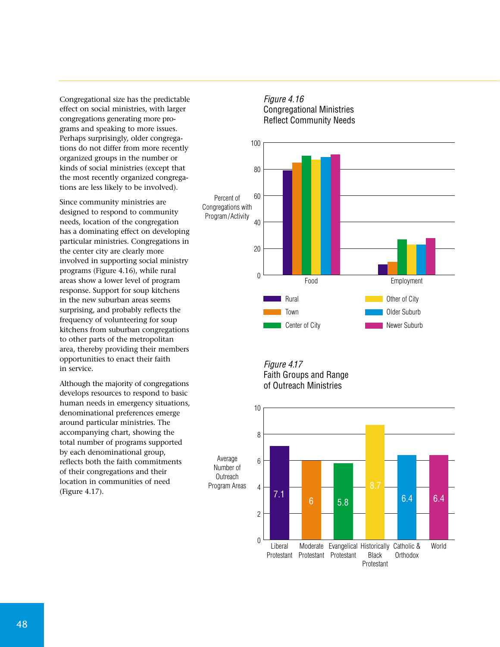Congregational size has the predictable effect on social ministries, with larger congregations generating more programs and speaking to more issues. Perhaps surprisingly, older congregations do not differ from more recently organized groups in the number or kinds of social ministries (except that the most recently organized congregations are less likely to be involved).

Since community ministries are designed to respond to community needs, location of the congregation has a dominating effect on developing particular ministries. Congregations in the center city are clearly more involved in supporting social ministry programs (Figure 4.16), while rural areas show a lower level of program response. Support for soup kitchens in the new suburban areas seems surprising, and probably reflects the frequency of volunteering for soup kitchens from suburban congregations to other parts of the metropolitan area, thereby providing their members opportunities to enact their faith in service.

Although the majority of congregations develops resources to respond to basic human needs in emergency situations, denominational preferences emerge around particular ministries. The accompanying chart, showing the total number of programs supported by each denominational group, reflects both the faith commitments of their congregations and their location in communities of need (Figure 4.17).



# Figure 4.16 Congregational Ministries

Figure 4.17 Faith Groups and Range of Outreach Ministries

Average

**Outreach** 

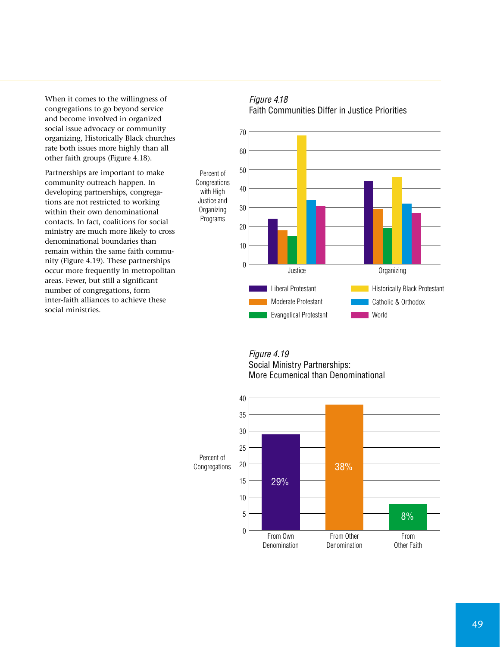When it comes to the willingness of congregations to go beyond service and become involved in organized social issue advocacy or community organizing, Historically Black churches rate both issues more highly than all other faith groups (Figure 4.18).

Partnerships are important to make community outreach happen. In developing partnerships, congregations are not restricted to working within their own denominational contacts. In fact, coalitions for social ministry are much more likely to cross denominational boundaries than remain within the same faith community (Figure 4.19). These partnerships occur more frequently in metropolitan areas. Fewer, but still a significant number of congregations, form inter-faith alliances to achieve these social ministries.

#### Figure 4.18 Faith Communities Differ in Justice Priorities



#### Figure 4.19 Social Ministry Partnerships: More Ecumenical than Denominational

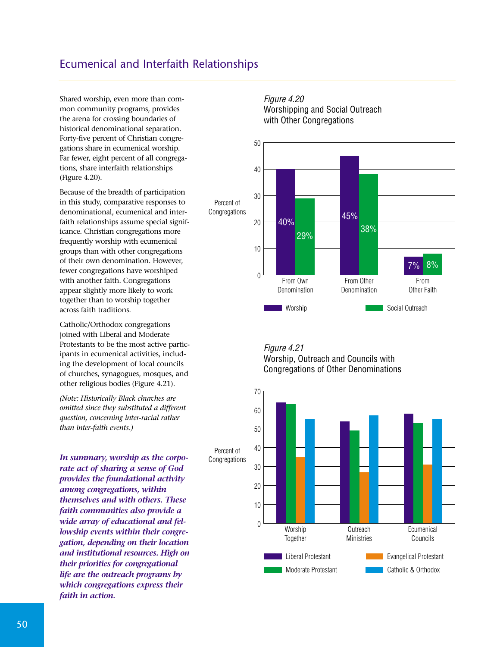# Ecumenical and Interfaith Relationships

Shared worship, even more than common community programs, provides the arena for crossing boundaries of historical denominational separation. Forty-five percent of Christian congregations share in ecumenical worship. Far fewer, eight percent of all congregations, share interfaith relationships (Figure 4.20).

Because of the breadth of participation in this study, comparative responses to denominational, ecumenical and interfaith relationships assume special significance. Christian congregations more frequently worship with ecumenical groups than with other congregations of their own denomination. However, fewer congregations have worshiped with another faith. Congregations appear slightly more likely to work together than to worship together across faith traditions.

Catholic/Orthodox congregations joined with Liberal and Moderate Protestants to be the most active participants in ecumenical activities, including the development of local councils of churches, synagogues, mosques, and other religious bodies (Figure 4.21).

*(Note: Historically Black churches are omitted since they substituted a different question, concerning inter-racial rather than inter-faith events.)* 

*In summary, worship as the corporate act of sharing a sense of God provides the foundational activity among congregations, within themselves and with others. These faith communities also provide a wide array of educational and fellowship events within their congregation, depending on their location and institutional resources. High on their priorities for congregational life are the outreach programs by which congregations express their faith in action.*





Figure 4.21 Worship, Outreach and Councils with Congregations of Other Denominations

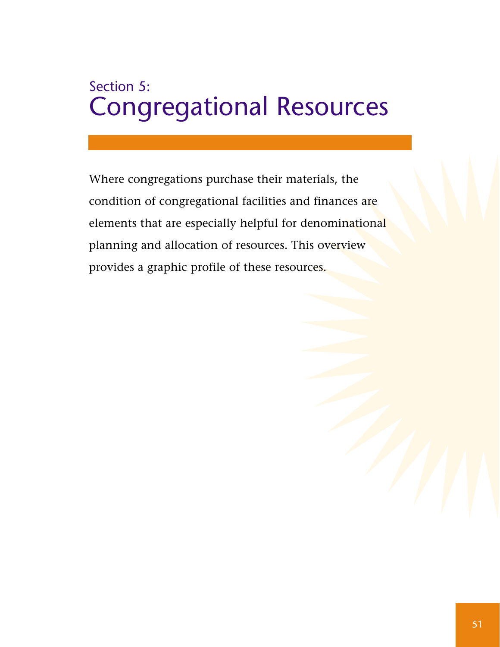# Section 5: Congregational Resources

Where congregations purchase their materials, the condition of congregational facilities and finances are elements that are especially helpful for denominational planning and allocation of resources. This overview provides a graphic profile of these resources.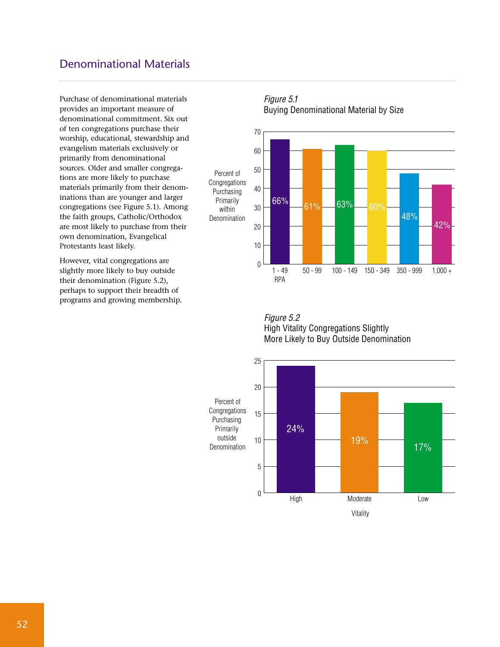## Denominational Materials

Purchase of denominational materials provides an important measure of denominational commitment. Six out of ten congregations purchase their worship, educational, stewardship and evangelism materials exclusively or primarily from denominational sources. Older and smaller congregations are more likely to purchase materials primarily from their denominations than are younger and larger congregations (see Figure 5.1). Among the faith groups, Catholic/Orthodox are most likely to purchase from their own denomination, Evangelical Protestants least likely.

However, vital congregations are slightly more likely to buy outside their denomination (Figure 5.2), perhaps to support their breadth of programs and growing membership.

#### Figure 5.1 Buying Denominational Material by Size



Figure 5.2 High Vitality Congregations Slightly More Likely to Buy Outside Denomination

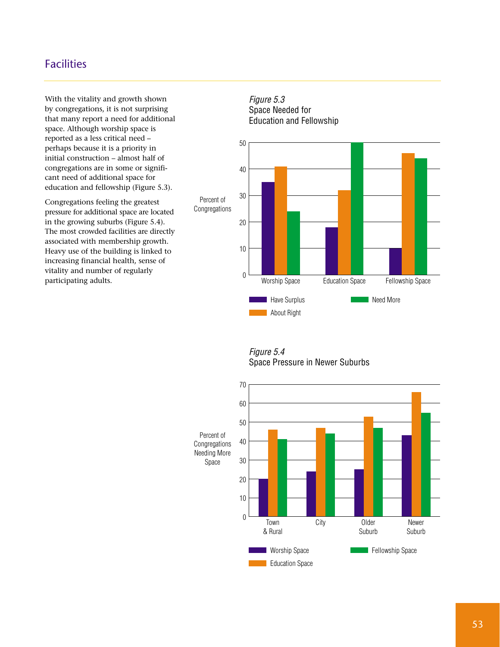# Facilities

With the vitality and growth shown by congregations, it is not surprising that many report a need for additional space. Although worship space is reported as a less critical need – perhaps because it is a priority in initial construction – almost half of congregations are in some or significant need of additional space for education and fellowship (Figure 5.3).

Congregations feeling the greatest pressure for additional space are located in the growing suburbs (Figure 5.4). The most crowded facilities are directly associated with membership growth. Heavy use of the building is linked to increasing financial health, sense of vitality and number of regularly participating adults.



Figure 5.4 Space Pressure in Newer Suburbs

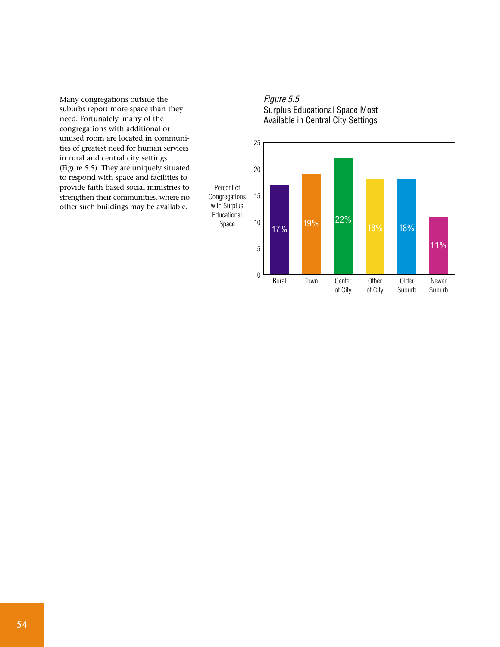Many congregations outside the suburbs report more space than they need. Fortunately, many of the congregations with additional or unused room are located in communities of greatest need for human services in rural and central city settings (Figure 5.5). They are uniquely situated to respond with space and facilities to provide faith-based social ministries to strengthen their communities, where no other such buildings may be available.



Newer Suburb

Older Suburb

**Other** of City

Center of City

Rural Town

# Figure 5.5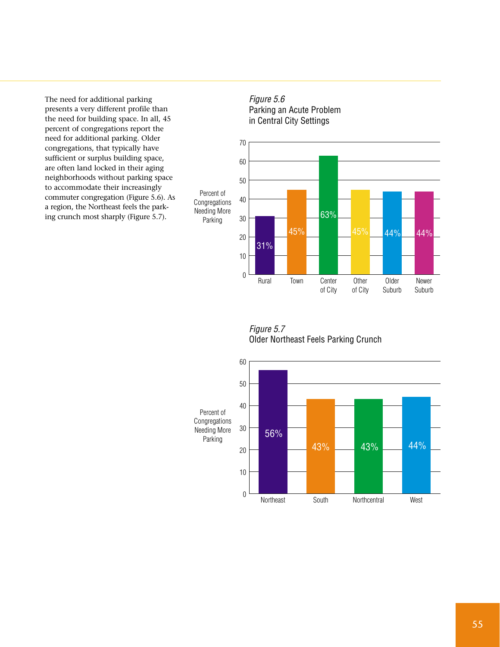The need for additional parking presents a very different profile than the need for building space. In all, 45 percent of congregations report the need for additional parking. Older congregations, that typically have sufficient or surplus building space, are often land locked in their aging neighborhoods without parking space to accommodate their increasingly commuter congregation (Figure 5.6). As a region, the Northeast feels the parking crunch most sharply (Figure 5.7).



Percent of Congregations Needing More Parking

0

Rural Town

45%

10

20

31%

30

Figure 5.7 Older Northeast Feels Parking Crunch

Center of City

Newer Suburb

Older Suburb

45% 44% 44%

**Other** of City

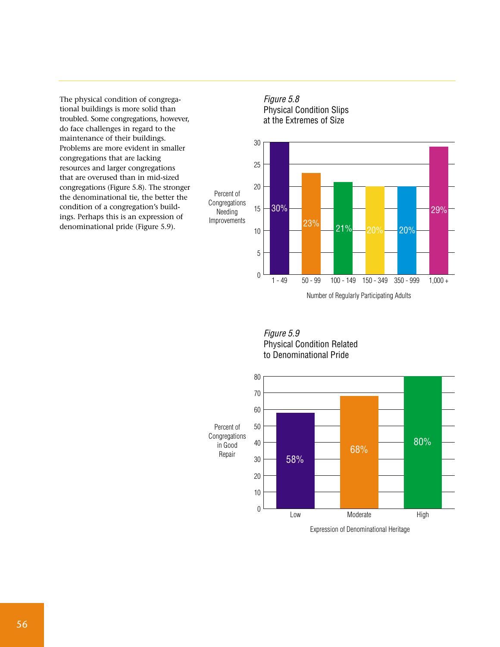The physical condition of congregational buildings is more solid than troubled. Some congregations, however, do face challenges in regard to the maintenance of their buildings. Problems are more evident in smaller congregations that are lacking resources and larger congregations that are overused than in mid-sized congregations (Figure 5.8). The stronger the denominational tie, the better the condition of a congregation's buildings. Perhaps this is an expression of denominational pride (Figure 5.9).







Figure 5.9 Physical Condition Related to Denominational Pride



Expression of Denominational Heritage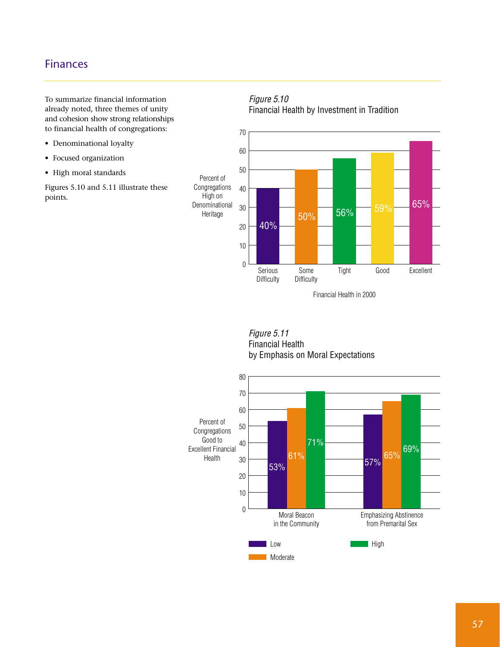# Finances

To summarize financial information already noted, three themes of unity and cohesion show strong relationships to financial health of congregations:

- Denominational loyalty
- Focused organization
- High moral standards

Figures 5.10 and 5.11 illustrate these points.

#### Figure 5.10 Financial Health by Investment in Tradition





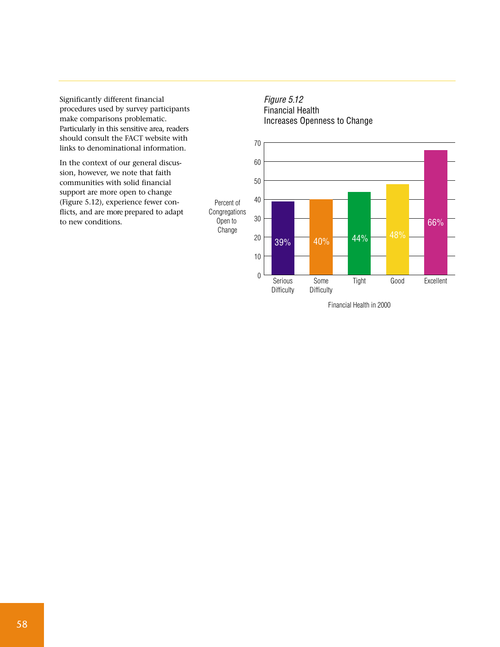Significantly different financial procedures used by survey participants make comparisons problematic. Particularly in this sensitive area, readers should consult the FACT website with links to denominational information.

In the context of our general discussion, however, we note that faith communities with solid financial support are more open to change (Figure 5.12), experience fewer conflicts, and are more prepared to adapt to new conditions.

Open to **Change** 





Financial Health in 2000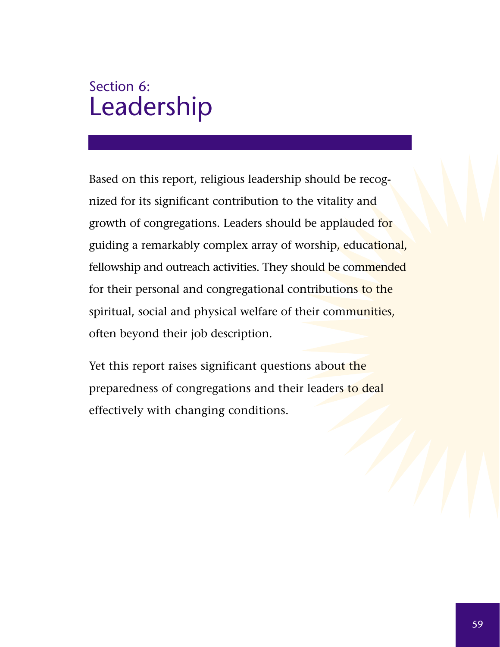# Section 6: Leadership

Based on this report, religious leadership should be recognized for its significant contribution to the vitality and growth of congregations. Leaders should be applauded for guiding a remarkably complex array of worship, educational, fellowship and outreach activities. They should be commended for their personal and congregational contributions to the spiritual, social and physical welfare of their communities, often beyond their job description.

Yet this report raises significant questions about the preparedness of congregations and their leaders to deal effectively with changing conditions.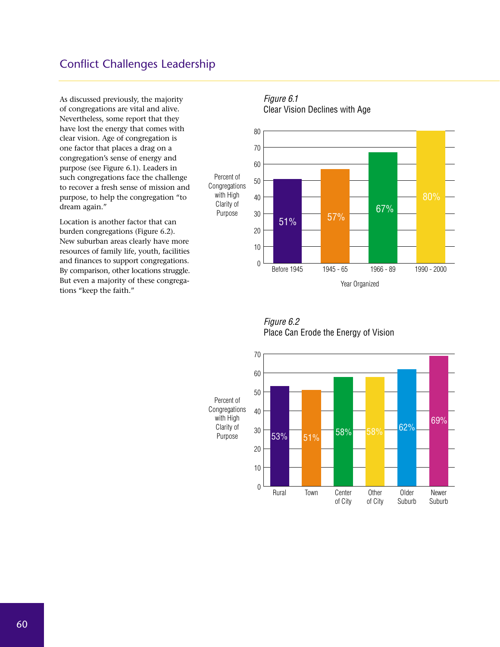# Conflict Challenges Leadership

As discussed previously, the majority of congregations are vital and alive. Nevertheless, some report that they have lost the energy that comes with clear vision. Age of congregation is one factor that places a drag on a congregation's sense of energy and purpose (see Figure 6.1). Leaders in such congregations face the challenge to recover a fresh sense of mission and purpose, to help the congregation "to dream again."

Location is another factor that can burden congregations (Figure 6.2). New suburban areas clearly have more resources of family life, youth, facilities and finances to support congregations. By comparison, other locations struggle. But even a majority of these congregations "keep the faith."

# Figure 6.1



# Clear Vision Declines with Age

Figure 6.2 Place Can Erode the Energy of Vision

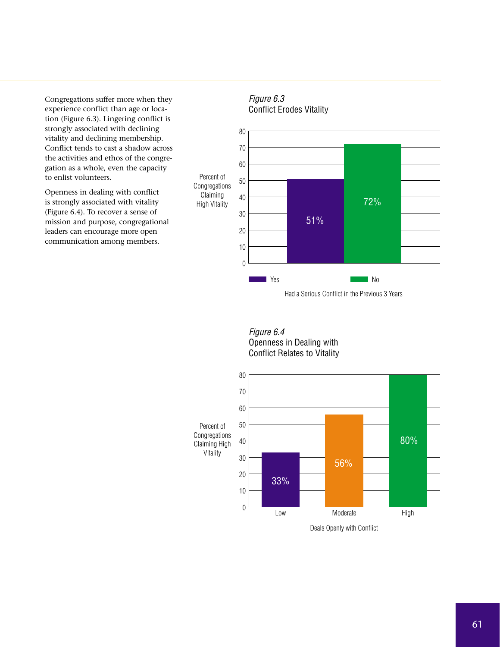Congregations suffer more when they experience conflict than age or location (Figure 6.3). Lingering conflict is strongly associated with declining vitality and declining membership. Conflict tends to cast a shadow across the activities and ethos of the congregation as a whole, even the capacity to enlist volunteers.

Openness in dealing with conflict is strongly associated with vitality (Figure 6.4). To recover a sense of mission and purpose, congregational leaders can encourage more open communication among members.



Had a Serious Conflict in the Previous 3 Years

Figure 6.4 Openness in Dealing with Conflict Relates to Vitality

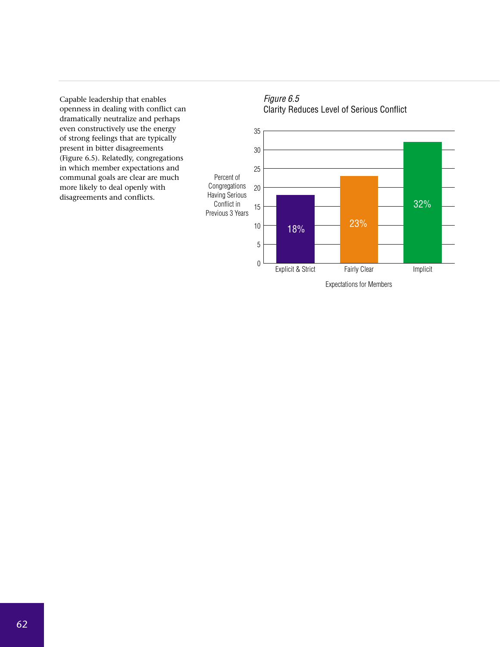Capable leadership that enables openness in dealing with conflict can dramatically neutralize and perhaps even constructively use the energy of strong feelings that are typically present in bitter disagreements (Figure 6.5). Relatedly, congregations in which member expectations and communal goals are clear are much more likely to deal openly with disagreements and conflicts.



#### Figure 6.5 Clarity Reduces Level of Serious Conflict



Expectations for Members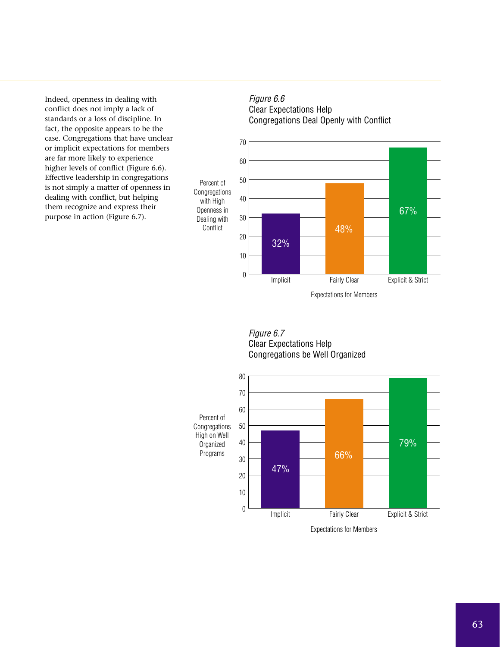Indeed, openness in dealing with conflict does not imply a lack of standards or a loss of discipline. In fact, the opposite appears to be the case. Congregations that have unclear or implicit expectations for members are far more likely to experience higher levels of conflict (Figure 6.6). Effective leadership in congregations is not simply a matter of openness in dealing with conflict, but helping them recognize and express their purpose in action (Figure 6.7).

#### Figure 6.6 Clear Expectations Help Congregations Deal Openly with Conflict



#### Figure 6.7 Clear Expectations Help Congregations be Well Organized



Expectations for Members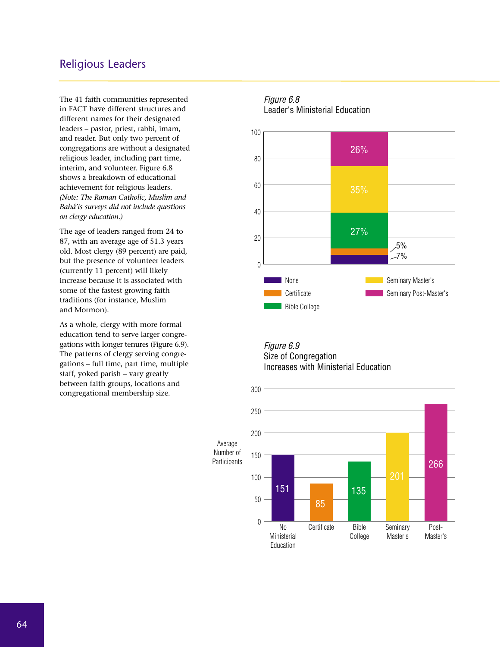## Religious Leaders

The 41 faith communities represented in FACT have different structures and different names for their designated leaders – pastor, priest, rabbi, imam, and reader. But only two percent of congregations are without a designated religious leader, including part time, interim, and volunteer. Figure 6.8 shows a breakdown of educational achievement for religious leaders. *(Note: The Roman Catholic, Muslim and Bahá'is surveys did not include questions on clergy education.)*

The age of leaders ranged from 24 to 87, with an average age of 51.3 years old. Most clergy (89 percent) are paid, but the presence of volunteer leaders (currently 11 percent) will likely increase because it is associated with some of the fastest growing faith traditions (for instance, Muslim and Mormon).

As a whole, clergy with more formal education tend to serve larger congregations with longer tenures (Figure 6.9). The patterns of clergy serving congregations – full time, part time, multiple staff, yoked parish – vary greatly between faith groups, locations and congregational membership size.

### 0 20 40 60 80 100 Figure 6.8 Leader's Ministerial Education None **Certificate** Bible College Seminary Master's Seminary Post-Master's 26% 35% 27%  $5%$  $27%$

#### Figure 6.9 Size of Congregation Increases with Ministerial Education

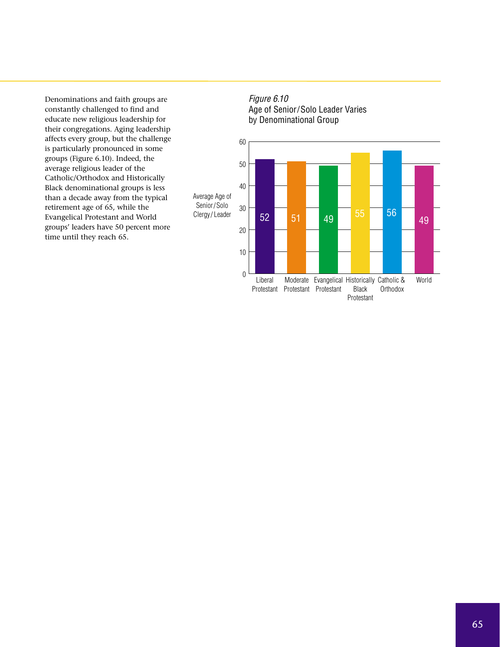Denominations and faith groups are constantly challenged to find and educate new religious leadership for their congregations. Aging leadership affects every group, but the challenge is particularly pronounced in some groups (Figure 6.10). Indeed, the average religious leader of the Catholic/Orthodox and Historically Black denominational groups is less than a decade away from the typical retirement age of 65, while the Evangelical Protestant and World groups' leaders have 50 percent more time until they reach 65.

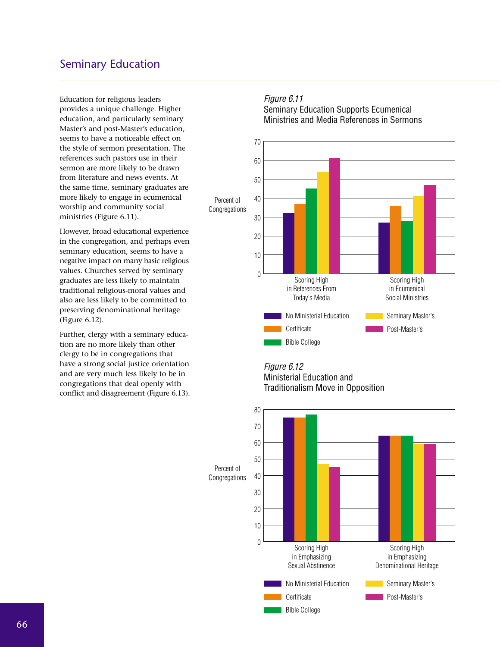# Seminary Education

Education for religious leaders provides a unique challenge. Higher education, and particularly seminary Master's and post-Master's education, seems to have a noticeable effect on the style of sermon presentation. The references such pastors use in their sermon are more likely to be drawn from literature and news events. At the same time, seminary graduates are more likely to engage in ecumenical worship and community social ministries (Figure 6.11).

However, broad educational experience in the congregation, and perhaps even seminary education, seems to have a negative impact on many basic religious values. Churches served by seminary graduates are less likely to maintain traditional religious-moral values and also are less likely to be committed to preserving denominational heritage (Figure 6.12).

Further, clergy with a seminary education are no more likely than other clergy to be in congregations that have a strong social justice orientation and are very much less likely to be in congregations that deal openly with conflict and disagreement (Figure 6.13).

#### Figure 6.11

Seminary Education Supports Ecumenical Ministries and Media References in Sermons



#### Figure 6.12 Ministerial Education and Traditionalism Move in Opposition

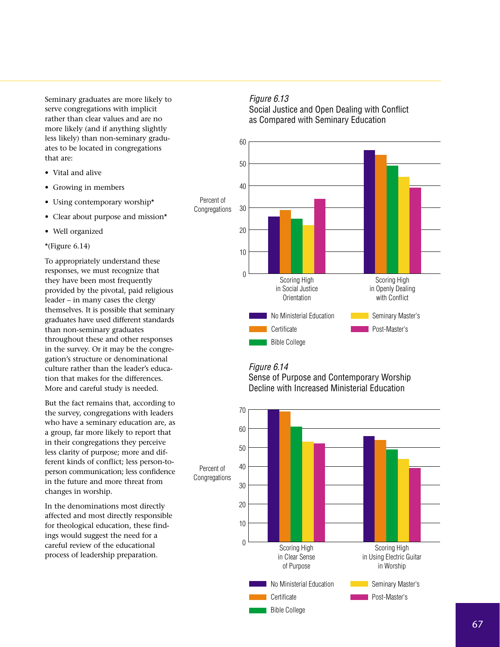Seminary graduates are more likely to serve congregations with implicit rather than clear values and are no more likely (and if anything slightly less likely) than non-seminary graduates to be located in congregations that are:

- Vital and alive
- Growing in members
- Using contemporary worship\*
- Clear about purpose and mission\*
- Well organized

#### \*(Figure  $6.14$ )

To appropriately understand these responses, we must recognize that they have been most frequently provided by the pivotal, paid religious leader – in many cases the clergy themselves. It is possible that seminary graduates have used different standards than non-seminary graduates throughout these and other responses in the survey. Or it may be the congregation's structure or denominational culture rather than the leader's education that makes for the differences. More and careful study is needed.

But the fact remains that, according to the survey, congregations with leaders who have a seminary education are, as a group, far more likely to report that in their congregations they perceive less clarity of purpose; more and different kinds of conflict; less person-toperson communication; less confidence in the future and more threat from changes in worship.

In the denominations most directly affected and most directly responsible for theological education, these findings would suggest the need for a careful review of the educational process of leadership preparation.

#### Figure 6.13

Social Justice and Open Dealing with Conflict as Compared with Seminary Education



#### Figure 6.14



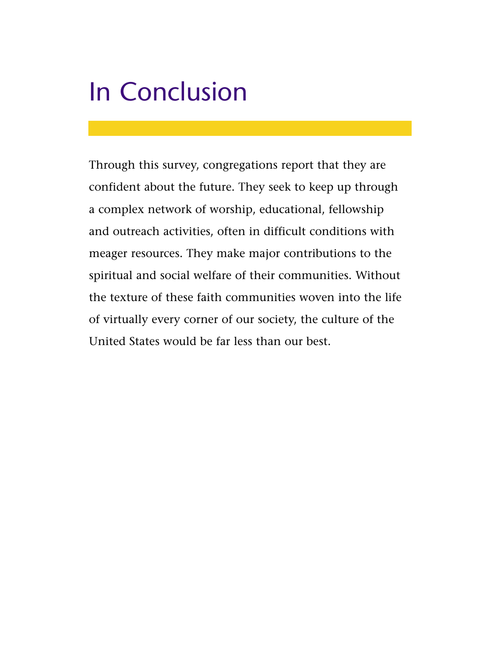# In Conclusion

Through this survey, congregations report that they are confident about the future. They seek to keep up through a complex network of worship, educational, fellowship and outreach activities, often in difficult conditions with meager resources. They make major contributions to the spiritual and social welfare of their communities. Without the texture of these faith communities woven into the life of virtually every corner of our society, the culture of the United States would be far less than our best.